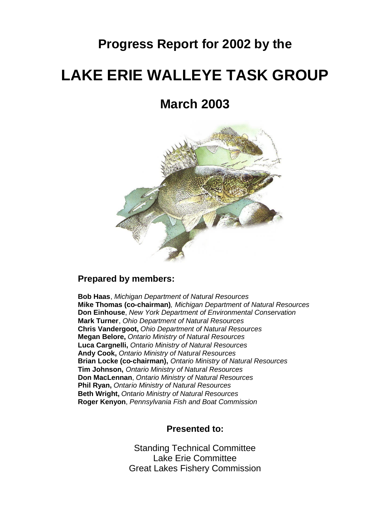## **Progress Report for 2002 by the**

# **LAKE ERIE WALLEYE TASK GROUP**

## **March 2003**



#### **Prepared by members:**

**Bob Haas**, *Michigan Department of Natural Resources* **Mike Thomas (co-chairman)**, *Michigan Department of Natural Resources* **Don Einhouse**, *New York Department of Environmental Conservation* **Mark Turner**, *Ohio Department of Natural Resources* **Chris Vandergoot,** *Ohio Department of Natural Resources* **Megan Belore,** *Ontario Ministry of Natural Resources* **Luca Cargnelli,** *Ontario Ministry of Natural Resources* **Andy Cook,** *Ontario Ministry of Natural Resources* **Brian Locke (co-chairman),** *Ontario Ministry of Natural Resources* **Tim Johnson,** *Ontario Ministry of Natural Resources* **Don MacLennan**, *Ontario Ministry of Natural Resources* **Phil Ryan,** *Ontario Ministry of Natural Resources* **Beth Wright,** *Ontario Ministry of Natural Resources* **Roger Kenyon**, *Pennsylvania Fish and Boat Commission*

#### **Presented to:**

Standing Technical Committee Lake Erie Committee Great Lakes Fishery Commission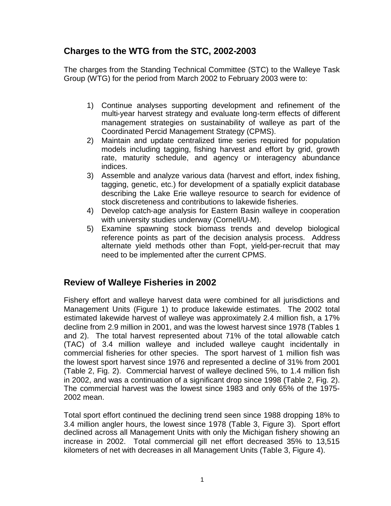## **Charges to the WTG from the STC, 2002-2003**

The charges from the Standing Technical Committee (STC) to the Walleye Task Group (WTG) for the period from March 2002 to February 2003 were to:

- 1) Continue analyses supporting development and refinement of the multi-year harvest strategy and evaluate long-term effects of different management strategies on sustainability of walleye as part of the Coordinated Percid Management Strategy (CPMS).
- 2) Maintain and update centralized time series required for population models including tagging, fishing harvest and effort by grid, growth rate, maturity schedule, and agency or interagency abundance indices.
- 3) Assemble and analyze various data (harvest and effort, index fishing, tagging, genetic, etc.) for development of a spatially explicit database describing the Lake Erie walleye resource to search for evidence of stock discreteness and contributions to lakewide fisheries.
- 4) Develop catch-age analysis for Eastern Basin walleye in cooperation with university studies underway (Cornell/U-M).
- 5) Examine spawning stock biomass trends and develop biological reference points as part of the decision analysis process. Address alternate yield methods other than Fopt, yield-per-recruit that may need to be implemented after the current CPMS.

## **Review of Walleye Fisheries in 2002**

Fishery effort and walleye harvest data were combined for all jurisdictions and Management Units (Figure 1) to produce lakewide estimates. The 2002 total estimated lakewide harvest of walleye was approximately 2.4 million fish, a 17% decline from 2.9 million in 2001, and was the lowest harvest since 1978 (Tables 1 and 2). The total harvest represented about 71% of the total allowable catch (TAC) of 3.4 million walleye and included walleye caught incidentally in commercial fisheries for other species. The sport harvest of 1 million fish was the lowest sport harvest since 1976 and represented a decline of 31% from 2001 (Table 2, Fig. 2). Commercial harvest of walleye declined 5%, to 1.4 million fish in 2002, and was a continuation of a significant drop since 1998 (Table 2, Fig. 2). The commercial harvest was the lowest since 1983 and only 65% of the 1975- 2002 mean.

Total sport effort continued the declining trend seen since 1988 dropping 18% to 3.4 million angler hours, the lowest since 1978 (Table 3, Figure 3). Sport effort declined across all Management Units with only the Michigan fishery showing an increase in 2002. Total commercial gill net effort decreased 35% to 13,515 kilometers of net with decreases in all Management Units (Table 3, Figure 4).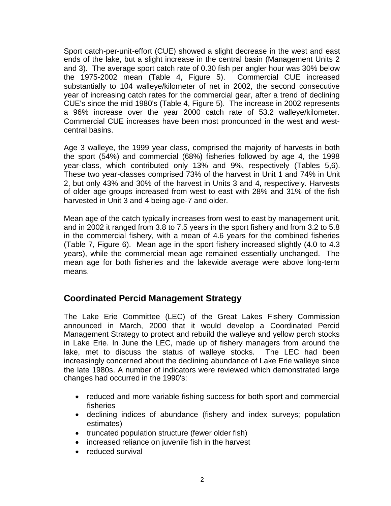Sport catch-per-unit-effort (CUE) showed a slight decrease in the west and east ends of the lake, but a slight increase in the central basin (Management Units 2 and 3). The average sport catch rate of 0.30 fish per angler hour was 30% below the 1975-2002 mean (Table 4, Figure 5). Commercial CUE increased substantially to 104 walleye/kilometer of net in 2002, the second consecutive year of increasing catch rates for the commercial gear, after a trend of declining CUE's since the mid 1980's (Table 4, Figure 5). The increase in 2002 represents a 96% increase over the year 2000 catch rate of 53.2 walleye/kilometer. Commercial CUE increases have been most pronounced in the west and westcentral basins.

Age 3 walleye, the 1999 year class, comprised the majority of harvests in both the sport (54%) and commercial (68%) fisheries followed by age 4, the 1998 year-class, which contributed only 13% and 9%, respectively (Tables 5,6). These two year-classes comprised 73% of the harvest in Unit 1 and 74% in Unit 2, but only 43% and 30% of the harvest in Units 3 and 4, respectively. Harvests of older age groups increased from west to east with 28% and 31% of the fish harvested in Unit 3 and 4 being age-7 and older.

Mean age of the catch typically increases from west to east by management unit, and in 2002 it ranged from 3.8 to 7.5 years in the sport fishery and from 3.2 to 5.8 in the commercial fishery, with a mean of 4.6 years for the combined fisheries (Table 7, Figure 6). Mean age in the sport fishery increased slightly (4.0 to 4.3 years), while the commercial mean age remained essentially unchanged. The mean age for both fisheries and the lakewide average were above long-term means.

## **Coordinated Percid Management Strategy**

The Lake Erie Committee (LEC) of the Great Lakes Fishery Commission announced in March, 2000 that it would develop a Coordinated Percid Management Strategy to protect and rebuild the walleye and yellow perch stocks in Lake Erie. In June the LEC, made up of fishery managers from around the lake, met to discuss the status of walleye stocks. The LEC had been increasingly concerned about the declining abundance of Lake Erie walleye since the late 1980s. A number of indicators were reviewed which demonstrated large changes had occurred in the 1990's:

- reduced and more variable fishing success for both sport and commercial fisheries
- declining indices of abundance (fishery and index surveys; population estimates)
- truncated population structure (fewer older fish)
- increased reliance on juvenile fish in the harvest
- reduced survival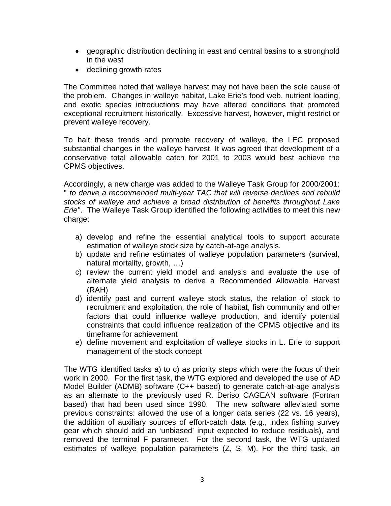- geographic distribution declining in east and central basins to a stronghold in the west
- declining growth rates

The Committee noted that walleye harvest may not have been the sole cause of the problem. Changes in walleye habitat, Lake Erie's food web, nutrient loading, and exotic species introductions may have altered conditions that promoted exceptional recruitment historically. Excessive harvest, however, might restrict or prevent walleye recovery.

To halt these trends and promote recovery of walleye, the LEC proposed substantial changes in the walleye harvest. It was agreed that development of a conservative total allowable catch for 2001 to 2003 would best achieve the CPMS objectives.

Accordingly, a new charge was added to the Walleye Task Group for 2000/2001: " *to derive a recommended multi-year TAC that will reverse declines and rebuild stocks of walleye and achieve a broad distribution of benefits throughout Lake Erie"*. The Walleye Task Group identified the following activities to meet this new charge:

- a) develop and refine the essential analytical tools to support accurate estimation of walleye stock size by catch-at-age analysis.
- b) update and refine estimates of walleye population parameters (survival, natural mortality, growth, …)
- c) review the current yield model and analysis and evaluate the use of alternate yield analysis to derive a Recommended Allowable Harvest (RAH)
- d) identify past and current walleye stock status, the relation of stock to recruitment and exploitation, the role of habitat, fish community and other factors that could influence walleye production, and identify potential constraints that could influence realization of the CPMS objective and its timeframe for achievement
- e) define movement and exploitation of walleye stocks in L. Erie to support management of the stock concept

The WTG identified tasks a) to c) as priority steps which were the focus of their work in 2000. For the first task, the WTG explored and developed the use of AD Model Builder (ADMB) software (C++ based) to generate catch-at-age analysis as an alternate to the previously used R. Deriso CAGEAN software (Fortran based) that had been used since 1990. The new software alleviated some previous constraints: allowed the use of a longer data series (22 vs. 16 years), the addition of auxiliary sources of effort-catch data (e.g., index fishing survey gear which should add an 'unbiased' input expected to reduce residuals), and removed the terminal F parameter. For the second task, the WTG updated estimates of walleye population parameters (Z, S, M). For the third task, an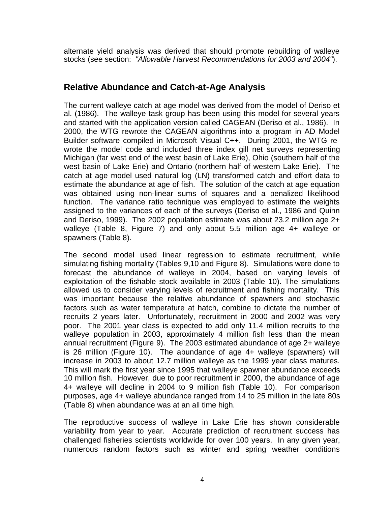alternate yield analysis was derived that should promote rebuilding of walleye stocks (see section: *"Allowable Harvest Recommendations for 2003 and 2004"*).

### **Relative Abundance and Catch-at-Age Analysis**

The current walleye catch at age model was derived from the model of Deriso et al. (1986). The walleye task group has been using this model for several years and started with the application version called CAGEAN (Deriso et al., 1986). In 2000, the WTG rewrote the CAGEAN algorithms into a program in AD Model Builder software compiled in Microsoft Visual C++. During 2001, the WTG rewrote the model code and included three index gill net surveys representing Michigan (far west end of the west basin of Lake Erie), Ohio (southern half of the west basin of Lake Erie) and Ontario (northern half of western Lake Erie). The catch at age model used natural log (LN) transformed catch and effort data to estimate the abundance at age of fish. The solution of the catch at age equation was obtained using non-linear sums of squares and a penalized likelihood function. The variance ratio technique was employed to estimate the weights assigned to the variances of each of the surveys (Deriso et al., 1986 and Quinn and Deriso, 1999). The 2002 population estimate was about 23.2 million age 2+ walleye (Table 8, Figure 7) and only about 5.5 million age 4+ walleye or spawners (Table 8).

The second model used linear regression to estimate recruitment, while simulating fishing mortality (Tables 9,10 and Figure 8). Simulations were done to forecast the abundance of walleye in 2004, based on varying levels of exploitation of the fishable stock available in 2003 (Table 10). The simulations allowed us to consider varying levels of recruitment and fishing mortality. This was important because the relative abundance of spawners and stochastic factors such as water temperature at hatch, combine to dictate the number of recruits 2 years later. Unfortunately, recruitment in 2000 and 2002 was very poor. The 2001 year class is expected to add only 11.4 million recruits to the walleye population in 2003, approximately 4 million fish less than the mean annual recruitment (Figure 9). The 2003 estimated abundance of age 2+ walleye is 26 million (Figure 10). The abundance of age 4+ walleye (spawners) will increase in 2003 to about 12.7 million walleye as the 1999 year class matures. This will mark the first year since 1995 that walleye spawner abundance exceeds 10 million fish. However, due to poor recruitment in 2000, the abundance of age 4+ walleye will decline in 2004 to 9 million fish (Table 10). For comparison purposes, age 4+ walleye abundance ranged from 14 to 25 million in the late 80s (Table 8) when abundance was at an all time high.

The reproductive success of walleye in Lake Erie has shown considerable variability from year to year. Accurate prediction of recruitment success has challenged fisheries scientists worldwide for over 100 years. In any given year, numerous random factors such as winter and spring weather conditions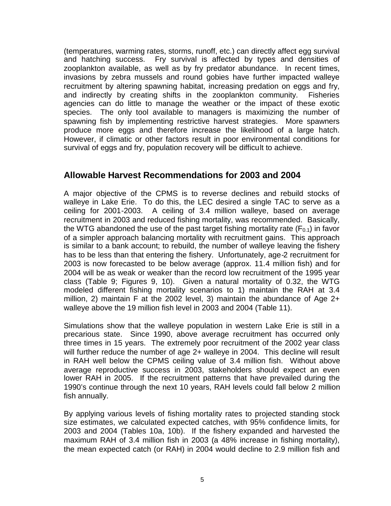(temperatures, warming rates, storms, runoff, etc.) can directly affect egg survival and hatching success. Fry survival is affected by types and densities of zooplankton available, as well as by fry predator abundance. In recent times, invasions by zebra mussels and round gobies have further impacted walleye recruitment by altering spawning habitat, increasing predation on eggs and fry, and indirectly by creating shifts in the zooplankton community. Fisheries agencies can do little to manage the weather or the impact of these exotic species. The only tool available to managers is maximizing the number of spawning fish by implementing restrictive harvest strategies. More spawners produce more eggs and therefore increase the likelihood of a large hatch. However, if climatic or other factors result in poor environmental conditions for survival of eggs and fry, population recovery will be difficult to achieve.

#### **Allowable Harvest Recommendations for 2003 and 2004**

A major objective of the CPMS is to reverse declines and rebuild stocks of walleye in Lake Erie. To do this, the LEC desired a single TAC to serve as a ceiling for 2001-2003. A ceiling of 3.4 million walleye, based on average recruitment in 2003 and reduced fishing mortality, was recommended. Basically, the WTG abandoned the use of the past target fishing mortality rate  $(F_{0,1})$  in favor of a simpler approach balancing mortality with recruitment gains. This approach is similar to a bank account; to rebuild, the number of walleye leaving the fishery has to be less than that entering the fishery. Unfortunately, age-2 recruitment for 2003 is now forecasted to be below average (approx. 11.4 million fish) and for 2004 will be as weak or weaker than the record low recruitment of the 1995 year class (Table 9; Figures 9, 10). Given a natural mortality of 0.32, the WTG modeled different fishing mortality scenarios to 1) maintain the RAH at 3.4 million, 2) maintain F at the 2002 level, 3) maintain the abundance of Age 2+ walleye above the 19 million fish level in 2003 and 2004 (Table 11).

Simulations show that the walleye population in western Lake Erie is still in a precarious state. Since 1990, above average recruitment has occurred only three times in 15 years. The extremely poor recruitment of the 2002 year class will further reduce the number of age 2+ walleye in 2004. This decline will result in RAH well below the CPMS ceiling value of 3.4 million fish. Without above average reproductive success in 2003, stakeholders should expect an even lower RAH in 2005. If the recruitment patterns that have prevailed during the 1990's continue through the next 10 years, RAH levels could fall below 2 million fish annually.

By applying various levels of fishing mortality rates to projected standing stock size estimates, we calculated expected catches, with 95% confidence limits, for 2003 and 2004 (Tables 10a, 10b). If the fishery expanded and harvested the maximum RAH of 3.4 million fish in 2003 (a 48% increase in fishing mortality), the mean expected catch (or RAH) in 2004 would decline to 2.9 million fish and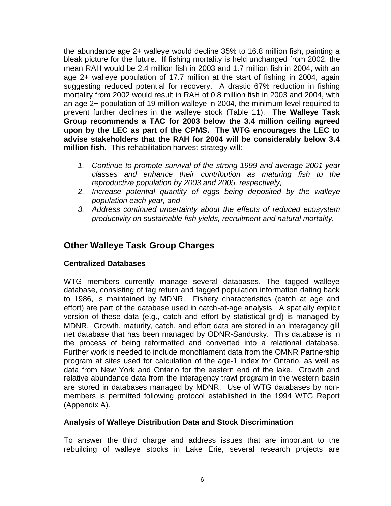the abundance age 2+ walleye would decline 35% to 16.8 million fish, painting a bleak picture for the future. If fishing mortality is held unchanged from 2002, the mean RAH would be 2.4 million fish in 2003 and 1.7 million fish in 2004, with an age 2+ walleye population of 17.7 million at the start of fishing in 2004, again suggesting reduced potential for recovery. A drastic 67% reduction in fishing mortality from 2002 would result in RAH of 0.8 million fish in 2003 and 2004, with an age 2+ population of 19 million walleye in 2004, the minimum level required to prevent further declines in the walleye stock (Table 11). **The Walleye Task Group recommends a TAC for 2003 below the 3.4 million ceiling agreed upon by the LEC as part of the CPMS. The WTG encourages the LEC to advise stakeholders that the RAH for 2004 will be considerably below 3.4 million fish.** This rehabilitation harvest strategy will:

- *1. Continue to promote survival of the strong 1999 and average 2001 year classes and enhance their contribution as maturing fish to the reproductive population by 2003 and 2005, respectively,*
- *2. Increase potential quantity of eggs being deposited by the walleye population each year, and*
- *3. Address continued uncertainty about the effects of reduced ecosystem productivity on sustainable fish yields, recruitment and natural mortality.*

## **Other Walleye Task Group Charges**

#### **Centralized Databases**

WTG members currently manage several databases. The tagged walleye database, consisting of tag return and tagged population information dating back to 1986, is maintained by MDNR. Fishery characteristics (catch at age and effort) are part of the database used in catch-at-age analysis. A spatially explicit version of these data (e.g., catch and effort by statistical grid) is managed by MDNR. Growth, maturity, catch, and effort data are stored in an interagency gill net database that has been managed by ODNR-Sandusky. This database is in the process of being reformatted and converted into a relational database. Further work is needed to include monofilament data from the OMNR Partnership program at sites used for calculation of the age-1 index for Ontario, as well as data from New York and Ontario for the eastern end of the lake. Growth and relative abundance data from the interagency trawl program in the western basin are stored in databases managed by MDNR. Use of WTG databases by nonmembers is permitted following protocol established in the 1994 WTG Report (Appendix A).

#### **Analysis of Walleye Distribution Data and Stock Discrimination**

To answer the third charge and address issues that are important to the rebuilding of walleye stocks in Lake Erie, several research projects are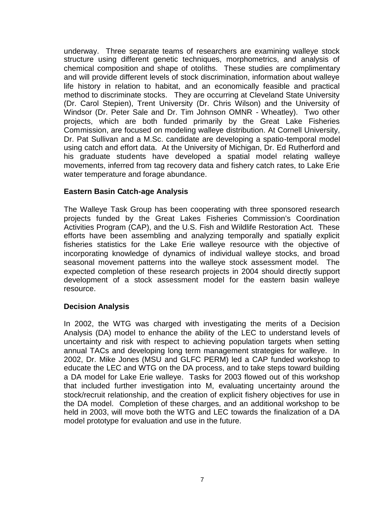underway. Three separate teams of researchers are examining walleye stock structure using different genetic techniques, morphometrics, and analysis of chemical composition and shape of otoliths. These studies are complimentary and will provide different levels of stock discrimination, information about walleye life history in relation to habitat, and an economically feasible and practical method to discriminate stocks. They are occurring at Cleveland State University (Dr. Carol Stepien), Trent University (Dr. Chris Wilson) and the University of Windsor (Dr. Peter Sale and Dr. Tim Johnson OMNR - Wheatley). Two other projects, which are both funded primarily by the Great Lake Fisheries Commission, are focused on modeling walleye distribution. At Cornell University, Dr. Pat Sullivan and a M.Sc. candidate are developing a spatio-temporal model using catch and effort data. At the University of Michigan, Dr. Ed Rutherford and his graduate students have developed a spatial model relating walleye movements, inferred from tag recovery data and fishery catch rates, to Lake Erie water temperature and forage abundance.

#### **Eastern Basin Catch-age Analysis**

The Walleye Task Group has been cooperating with three sponsored research projects funded by the Great Lakes Fisheries Commission's Coordination Activities Program (CAP), and the U.S. Fish and Wildlife Restoration Act. These efforts have been assembling and analyzing temporally and spatially explicit fisheries statistics for the Lake Erie walleye resource with the objective of incorporating knowledge of dynamics of individual walleye stocks, and broad seasonal movement patterns into the walleye stock assessment model. The expected completion of these research projects in 2004 should directly support development of a stock assessment model for the eastern basin walleye resource.

#### **Decision Analysis**

In 2002, the WTG was charged with investigating the merits of a Decision Analysis (DA) model to enhance the ability of the LEC to understand levels of uncertainty and risk with respect to achieving population targets when setting annual TACs and developing long term management strategies for walleye. In 2002, Dr. Mike Jones (MSU and GLFC PERM) led a CAP funded workshop to educate the LEC and WTG on the DA process, and to take steps toward building a DA model for Lake Erie walleye. Tasks for 2003 flowed out of this workshop that included further investigation into M, evaluating uncertainty around the stock/recruit relationship, and the creation of explicit fishery objectives for use in the DA model. Completion of these charges, and an additional workshop to be held in 2003, will move both the WTG and LEC towards the finalization of a DA model prototype for evaluation and use in the future.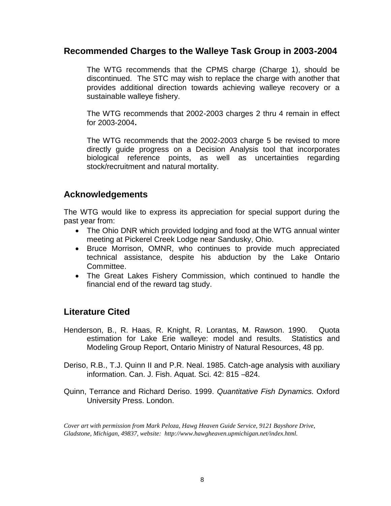#### **Recommended Charges to the Walleye Task Group in 2003-2004**

The WTG recommends that the CPMS charge (Charge 1), should be discontinued. The STC may wish to replace the charge with another that provides additional direction towards achieving walleye recovery or a sustainable walleye fishery.

The WTG recommends that 2002-2003 charges 2 thru 4 remain in effect for 2003-2004**.**

The WTG recommends that the 2002-2003 charge 5 be revised to more directly guide progress on a Decision Analysis tool that incorporates biological reference points, as well as uncertainties regarding stock/recruitment and natural mortality.

#### **Acknowledgements**

The WTG would like to express its appreciation for special support during the past year from:

- The Ohio DNR which provided lodging and food at the WTG annual winter meeting at Pickerel Creek Lodge near Sandusky, Ohio.
- Bruce Morrison, OMNR, who continues to provide much appreciated technical assistance, despite his abduction by the Lake Ontario Committee.
- The Great Lakes Fishery Commission, which continued to handle the financial end of the reward tag study.

## **Literature Cited**

- Henderson, B., R. Haas, R. Knight, R. Lorantas, M. Rawson. 1990. Quota estimation for Lake Erie walleye: model and results. Statistics and Modeling Group Report, Ontario Ministry of Natural Resources, 48 pp.
- Deriso, R.B., T.J. Quinn II and P.R. Neal. 1985. Catch-age analysis with auxiliary information. Can. J. Fish. Aquat. Sci. 42: 815 –824.
- Quinn, Terrance and Richard Deriso. 1999. *Quantitative Fish Dynamics*. Oxford University Press. London.

*Cover art with permission from Mark Peloza, Hawg Heaven Guide Service, 9121 Bayshore Drive, Gladstone, Michigan, 49837, website: http://www.hawgheaven.upmichigan.net/index.html.*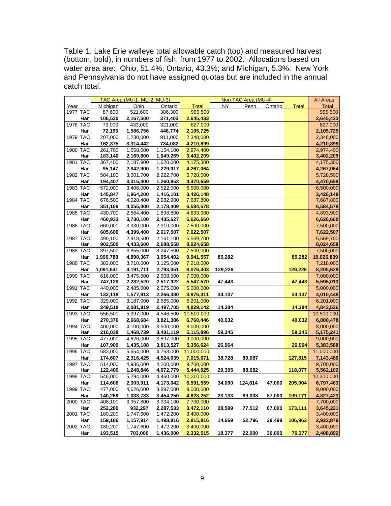Table 1. Lake Erie walleye total allowable catch (top) and measured harvest (bottom, bold), in numbers of fish, from 1977 to 2002. Allocations based on water area are: Ohio, 51.4%; Ontario, 43.3%; and Michigan, 5.3%. New York and Pennsylvania do not have assigned quotas but are included in the annual catch total.

|                        |                    | TAC Area (MU-1, MU-2, MU-3) |                        |                         |         | Non TAC Area (MU-4) |         |              | <b>All Areas</b>       |
|------------------------|--------------------|-----------------------------|------------------------|-------------------------|---------|---------------------|---------|--------------|------------------------|
| Year                   | Michigan           | Ohio                        | Ontario                | <b>Total</b>            | NY      | Penn.               | Ontario | <b>Total</b> | <b>Total</b>           |
| 1977 TAC               | 87,600             | 521,600                     | 386,300                | 995,500                 |         |                     |         |              | 995,500                |
| Har                    | 106,530            | 2,167,500                   | 371,403                | 2,645,433               |         |                     |         |              | 2,645,433              |
| 1978 TAC               | 73,000             | 433,000                     | 321,000                | 827,000                 |         |                     |         |              | 827,000                |
| Har                    | 72,195             | 1,586,756                   | 446,774                | 2,105,725               |         |                     |         |              | 2,105,725              |
| 1979 TAC               | 207,000            | 1,230,000                   | 911,000                | 2,348,000               |         |                     |         |              | 2,348,000              |
| Har                    | 162,375            | 3,314,442                   | 734,082                | 4,210,899               |         |                     |         |              | 4,210,899              |
| 1980 TAC               | 261,700            | 1,558,600                   | 1,154,100              | 2,974,400               |         |                     |         |              | 2,974,400              |
| Har                    | 183,140            | 2,169,800                   | 1,049,269              | 3,402,209               |         |                     |         |              | 3,402,209              |
| 1981 TAC               | 367,400            | 2,187,900                   | 1,620,000              | 4,175,300               |         |                     |         |              | 4,175,300              |
| Har                    | 95,147             | 2,942,900                   | 1,229,017              | 4,267,064               |         |                     |         |              | 4,267,064              |
| 1982 TAC               | 504,100            | 3,001,700                   | 2,222,700              | 5,728,500               |         |                     |         |              | 5,728,500              |
| Har                    | 194,407            | 3,015,400                   | 1,260,852              | 4,470,659               |         |                     |         |              | 4,470,659              |
| 1983 TAC               | 572,000            | 3,406,000                   | 2,522,000              | 6,500,000               |         |                     |         |              | 6,500,000              |
| Har<br>1984 TAC        | 145,847<br>676,500 | 1,864,200<br>4,028,400      | 1,416,101<br>2,982,900 | 3,426,148<br>7,687,800  |         |                     |         |              | 3,426,148<br>7,687,800 |
| Har                    | 351,169            | 4,055,000                   | 2,178,409              | 6,584,578               |         |                     |         |              | 6,584,578              |
| 1985 TAC               | 430,700            | 2,564,400                   | 1,898,800              | 4,893,900               |         |                     |         |              | 4,893,900              |
| Har                    | 460,933            | 3,730,100                   | 2,435,627              | 6,626,660               |         |                     |         |              | 6,626,660              |
| <b>1986 TAC</b>        | 660,000            | 3,930,000                   | 2,910,000              | 7,500,000               |         |                     |         |              | 7,500,000              |
| Har                    | 605,600            | 4,399,400                   | 2,617,507              | 7,622,507               |         |                     |         |              | 7,622,507              |
| <b>1987 TAC</b>        | 490,100            | 2,918,500                   | 2,161,100              | 5,569,700               |         |                     |         |              | 5,569,700              |
| Har                    | 902,500            | 4,433,600                   | 2,688,558              | 8,024,658               |         |                     |         |              | 8,024,658              |
| 1988 TAC               | 397,500            | 3,855,000                   | 3,247,500              | 7,500,000               |         |                     |         |              | 7,500,000              |
| Har                    | 1,996,788          | 4,890,367                   | 3,054,402              | 9,941,557               | 85,282  |                     |         | 85,282       | 10,026,839             |
| 1989 TAC               | 383,000            | 3,710,000                   | 3,125,000              | 7,218,000               |         |                     |         |              | 7,218,000              |
| Har                    | 1,091,641          | 4,191,711                   | 2,793,051              | 8,076,403               | 129,226 |                     |         | 129,226      | 8,205,629              |
| 1990 TAC               | 616,000            | 3,475,500                   | 2,908,500              | 7,000,000               |         |                     |         |              | 7,000,000              |
| Har                    | 747,128            | 2,282,520                   | 2,517,922              | 5,547,570               | 47,443  |                     |         | 47,443       | 5,595,013              |
| 1991 TAC               | 440,000            | 2,485,000                   | 2,075,000              | 5,000,000               |         |                     |         |              | 5,000,000              |
| Har                    | 132,118            | 1,577,813                   | 2,266,380              | 3,976,311               | 34,137  |                     |         | 34,137       | 4,010,448              |
| 1992 TAC               | 329,000            | 3,187,000                   | 2,685,000              | 6,201,000               |         |                     |         |              | 6,201,000              |
| Har                    | 249,518            | 2,081,919                   | 2,497,705              | 4,829,142               | 14,384  |                     |         | 14,384       | 4,843,526              |
| 1993 TAC               | 556,500            | 5,397,000                   | 4,546,500              | 10,500,000              |         |                     |         |              | 10,500,000             |
| Har                    | 270,376            | 2,668,684                   | 3,821,386              | 6,760,446               | 40,032  |                     |         | 40,032       | 6,800,478              |
| 1994 TAC               | 400,000            | 4,100,000                   | 3,500,000              | 8,000,000               |         |                     |         |              | 8,000,000              |
| Har                    | 216,038            | 1,468,739                   | 3,431,119              | 5,115,896               | 59,345  |                     |         | 59,345       | 5,175,241              |
| 1995 TAC               | 477,000            | 4,626,000                   | 3,897,000              | 9,000,000               |         |                     |         |              | 9,000,000              |
| Har                    | 107,909            | 1,435,188                   | 3,813,527              | 5,356,624               | 26,964  |                     |         | 26,964       | 5,383,588              |
| 1996 TAC               | 583,000            | 5,654,000                   | 4,763,000              | 11,000,000              |         |                     |         |              | 11,000,000             |
| Har                    | 174,607            | 2,316,425                   | 4,524,639              | 7,015,671               | 38,728  | 89,087              |         | 127,815      | 7,143,486              |
| <b>1997 TAC</b>        | 514,000            | 4,986,000                   | 4,200,000              | 9,700,000               |         |                     |         |              | 9,700,000              |
| Har<br><b>1998 TAC</b> | 122,400            | 1,248,846                   | 4,072,779              | 5,444,025<br>10,300,000 | 29,395  | 88,682              |         | 118,077      | 5,562,102              |
|                        | 546,000<br>114.606 | 5,294,000                   | 4,460,000              |                         |         |                     |         |              | 10,300,000             |
| Har<br>1999 TAC        |                    | 2,303,911                   | 4,173,042              | 6,591,559               | 34,090  | 124.814             | 47,000  | 205,904      | 6,797,463              |
| Har                    | 477,000<br>140,269 | 4,626,000<br>1,033,733      | 3,897,000              | 9,000,000               | 23,133  | 89,038              | 87,000  | 199,171      | 9,000,000              |
| 2000 TAC               | 408,100            | 3,957,800                   | 3,454,250<br>3,334,100 | 4,628,252<br>7,700,000  |         |                     |         |              | 4,827,423<br>7,700,000 |
| Har                    | 252,280            | 932,297                     | 2,287,533              | 3,472,110               | 28,599  | 77,512              | 67,000  | 173,111      | 3,645,221              |
| <b>2001 TAC</b>        | 180,200            | 1,747,600                   | 1,472,200              | 3,400,000               |         |                     |         |              | 3,400,000              |
| Har                    | 159,186            | 1,157,914                   | 1,498,816              | 2,815,916               | 14,669  | 52,796              | 39,498  | 106,963      | 2,922,879              |
| 2002 TAC               | 180,200            | 1,747,600                   | 1,472,200              | 3,400,000               |         |                     |         |              | 3,400,000              |
| <b>Har</b>             | 193,515            | 703,000                     | 1,436,000              | 2,332,515               | 18,377  | 22,000              | 36,000  | 76,377       | 2,408,892              |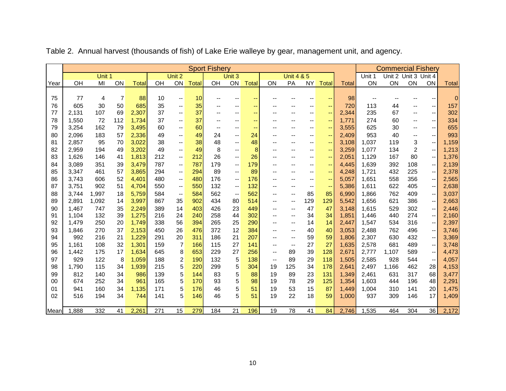|      |       |        |     |              |     |                          |              | <b>Sport Fishery</b> |                          |              |                          |                          |                              |                          |              |                          | <b>Commercial Fishery</b> |     |                                            |              |
|------|-------|--------|-----|--------------|-----|--------------------------|--------------|----------------------|--------------------------|--------------|--------------------------|--------------------------|------------------------------|--------------------------|--------------|--------------------------|---------------------------|-----|--------------------------------------------|--------------|
|      |       | Unit 1 |     |              |     | Unit 2                   |              |                      | Unit 3                   |              |                          | <b>Unit 4 &amp; 5</b>    |                              |                          |              | Unit 1                   | Unit 2 Unit 3 Unit 4      |     |                                            |              |
| Year | OH    | MI     | ON  | <b>Total</b> | OH  | ON                       | <b>Total</b> | OH                   | ON                       | <b>Total</b> | ON                       | PA                       | <b>NY</b>                    | <b>Total</b>             | <b>Total</b> | ON                       | ON                        | ON  | <b>ON</b>                                  | <b>Total</b> |
|      |       |        |     |              |     |                          |              |                      |                          |              |                          |                          |                              |                          |              |                          |                           |     |                                            |              |
| 75   | 77    | 4      | 7   | 88           | 10  | $-\,-$                   | 10           |                      | $\overline{\phantom{a}}$ |              |                          |                          | --                           |                          | 98           | $\overline{\phantom{a}}$ |                           |     |                                            | $\mathbf 0$  |
| 76   | 605   | 30     | 50  | 685          | 35  | -−                       | 35           |                      | --                       | --           |                          |                          | --                           | $\overline{\phantom{m}}$ | 720          | 113                      | 44                        |     | $\overline{\phantom{a}}$                   | 157          |
| 77   | 2,131 | 107    | 69  | 2,307        | 37  | $\overline{\phantom{a}}$ | 37           |                      | --                       | $\sim$       |                          |                          | --                           | $\overline{\phantom{m}}$ | 2,344        | 235                      | 67                        | $-$ | $\overline{\phantom{a}}$                   | 302          |
| 78   | 1,550 | 72     | 112 | 1,734        | 37  | --                       | 37           |                      | --                       | $- -$        |                          |                          | --                           | $\overline{\phantom{m}}$ | 1,771        | 274                      | 60                        |     | $\overline{\phantom{a}}$                   | 334          |
| 79   | 3,254 | 162    | 79  | 3,495        | 60  | -−                       | 60           |                      | --                       | --           |                          |                          | --                           | $-$                      | 3,555        | 625                      | 30                        | --  | $\overline{\phantom{a}}$                   | 655          |
| 80   | 2,096 | 183    | 57  | 2,336        | 49  | $\overline{\phantom{a}}$ | 49           | 24                   | $\overline{\phantom{a}}$ | 24           |                          |                          | --                           | $\sim$                   | 2,409        | 953                      | 40                        | $-$ | $\overline{\phantom{a}}$                   | 993          |
| 81   | 2,857 | 95     | 70  | 3,022        | 38  | $\overline{\phantom{a}}$ | 38           | 48                   | $\overline{\phantom{a}}$ | 48           |                          |                          | --                           | $\overline{\phantom{m}}$ | 3,108        | 1,037                    | 119                       | 3   | $\overline{\phantom{a}}$                   | 1,159        |
| 82   | 2,959 | 194    | 49  | 3,202        | 49  | $\overline{\phantom{a}}$ | 49           | 8                    | $\overline{\phantom{a}}$ | 8            |                          |                          | $\qquad \qquad \blacksquare$ | $\overline{\phantom{m}}$ | 3,259        | 1,077                    | 134                       | 2   | $\overline{\phantom{a}}$                   | 1,213        |
| 83   | 1,626 | 146    | 41  | 1,813        | 212 | $\mathbf{u}$             | 212          | 26                   | $\overline{\phantom{a}}$ | 26           |                          |                          | $-$                          | $\overline{\phantom{m}}$ | 2,051        | 1,129                    | 167                       | 80  | $\overline{\phantom{a}}$                   | 1,376        |
| 84   | 3,089 | 351    | 39  | 3,479        | 787 | $\overline{\phantom{a}}$ | 787          | 179                  | $\qquad \qquad \cdots$   | 179          |                          |                          | --                           | $\overline{\phantom{a}}$ | 4,445        | 1,639                    | 392                       | 108 | $\qquad \qquad \qquad \qquad \blacksquare$ | 2,139        |
| 85   | 3,347 | 461    | 57  | 3,865        | 294 | --                       | 294          | 89                   | $\overline{\phantom{a}}$ | 89           |                          |                          | --                           | $\overline{\phantom{m}}$ | 4,248        | 1,721                    | 432                       | 225 | $\qquad \qquad \qquad \qquad \blacksquare$ | 2,378        |
| 86   | 3,743 | 606    | 52  | 4,401        | 480 | $\overline{\phantom{a}}$ | 480          | 176                  | $\overline{\phantom{a}}$ | 176          |                          |                          | --                           | $\overline{\phantom{a}}$ | 5,057        | 1,651                    | 558                       | 356 | $\overline{\phantom{a}}$                   | 2,565        |
| 87   | 3,751 | 902    | 51  | 4,704        | 550 | $\overline{\phantom{a}}$ | 550          | 132                  | $\overline{\phantom{a}}$ | 132          | --                       |                          | --                           | $-$                      | 5,386        | 1,611                    | 622                       | 405 | $\overline{\phantom{a}}$                   | 2,638        |
| 88   | 3,744 | 1,997  | 18  | 5,759        | 584 | $\overline{\phantom{a}}$ | 584          | 562                  | $\qquad \qquad \cdots$   | 562          | $- -$                    | $-$                      | 85                           | 85                       | 6,990        | 1,866                    | 762                       | 409 | $\overline{\phantom{a}}$                   | 3,037        |
| 89   | 2,891 | 1,092  | 14  | 3,997        | 867 | 35                       | 902          | 434                  | 80                       | 514          | --                       | $\overline{\phantom{a}}$ | 129                          | 129                      | 5,542        | 1,656                    | 621                       | 386 | $\overline{\phantom{a}}$                   | 2,663        |
| 90   | 1,467 | 747    | 35  | 2,249        | 389 | 14                       | 403          | 426                  | 23                       | 449          |                          | $\overline{\phantom{a}}$ | 47                           | 47                       | 3,148        | 1,615                    | 529                       | 302 | $\qquad \qquad -$                          | 2,446        |
| 91   | 1,104 | 132    | 39  | 1,275        | 216 | 24                       | 240          | 258                  | 44                       | 302          | --                       | $\overline{\phantom{a}}$ | 34                           | 34                       | 1,851        | 1,446                    | 440                       | 274 | $\qquad \qquad -$                          | 2,160        |
| 92   | 1,479 | 250    | 20  | 1,749        | 338 | 56                       | 394          | 265                  | 25                       | 290          | --                       | $\sim$                   | 14                           | 14                       | 2,447        | 1,547                    | 534                       | 316 | $\overline{\phantom{a}}$                   | 2,397        |
| 93   | 1,846 | 270    | 37  | 2,153        | 450 | 26                       | 476          | 372                  | 12                       | 384          |                          | $\overline{\phantom{a}}$ | 40                           | 40                       | 3,053        | 2,488                    | 762                       | 496 | --                                         | 3,746        |
| 94   | 992   | 216    | 21  | 1,229        | 291 | 20                       | 311          | 186                  | 21                       | 207          | $- -$                    | $\overline{\phantom{a}}$ | 59                           | 59                       | 1,806        | 2,307                    | 630                       | 432 | $\overline{\phantom{a}}$                   | 3,369        |
| 95   | 1,161 | 108    | 32  | 1,301        | 159 | 7                        | 166          | 115                  | 27                       | 141          | $\overline{\phantom{a}}$ | $\overline{\phantom{a}}$ | 27                           | 27                       | 1,635        | 2,578                    | 681                       | 489 | --                                         | 3,748        |
| 96   | 1,442 | 175    | 17  | 1,634        | 645 | 8                        | 653          | 229                  | 27                       | 256          | $-$                      | 89                       | 39                           | 128                      | 2,671        | 2,777                    | 1,107                     | 589 | $\qquad \qquad -$                          | 4,473        |
| 97   | 929   | 122    | 8   | 1,059        | 188 | 2                        | 190          | 132                  | 5                        | 138          | $\overline{\phantom{a}}$ | 89                       | 29                           | 118                      | 1,505        | 2,585                    | 928                       | 544 | $\overline{\phantom{a}}$                   | 4,057        |
| 98   | 1,790 | 115    | 34  | 1,939        | 215 | 5                        | 220          | 299                  | 5                        | 304          | 19                       | 125                      | 34                           | 178                      | 2,641        | 2,497                    | 1,166                     | 462 | 28                                         | 4,153        |
| 99   | 812   | 140    | 34  | 986          | 139 | 5                        | 144          | 83                   | 5                        | 88           | 19                       | 89                       | 23                           | 131                      | 1,349        | 2,461                    | 631                       | 317 | 68                                         | 3,477        |
| 00   | 674   | 252    | 34  | 961          | 165 | 5                        | 170          | 93                   | 5                        | 98           | 19                       | 78                       | 29                           | 125                      | 1,354        | 1,603                    | 444                       | 196 | 48                                         | 2,291        |
| 01   | 941   | 160    | 34  | 1,135        | 171 | 5                        | 176          | 46                   | 5                        | 51           | 19                       | 53                       | 15                           | 87                       | 1,449        | 1,004                    | 310                       | 141 | 20                                         | 1,475        |
| 02   | 516   | 194    | 34  | 744          | 141 | 5                        | 146          | 46                   | 5                        | 51           | 19                       | 22                       | 18                           | 59                       | 1,000        | 937                      | 309                       | 146 | 17                                         | 1,409        |
|      |       |        |     |              |     |                          |              |                      |                          |              |                          |                          |                              |                          |              |                          |                           |     |                                            |              |
| Mean | 1,888 | 332    | 41  | 2,261        | 271 | 15                       | 279          | 184                  | 21                       | 196          | 19                       | 78                       | 41                           | 84                       | 2,746        | 1,535                    | 464                       | 304 | 36                                         | 2,172        |

Table 2. Annual harvest (thousands of fish) of Lake Erie walleye by gear, management unit, and agency.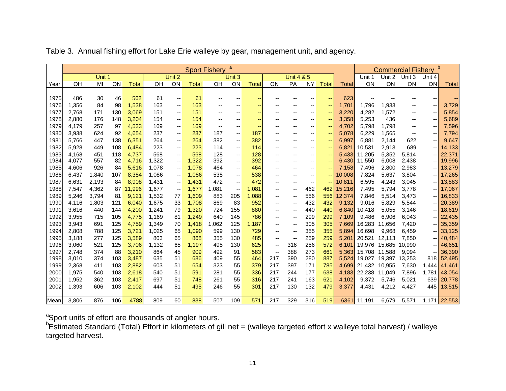|      |       |        |     |        |       |                          |              | <b>Sport Fishery</b> | a                 |        |                          |                          |                          |                          |        |              |               | <b>Commercial Fishery</b> |                          | $\mathsf{b}$ |
|------|-------|--------|-----|--------|-------|--------------------------|--------------|----------------------|-------------------|--------|--------------------------|--------------------------|--------------------------|--------------------------|--------|--------------|---------------|---------------------------|--------------------------|--------------|
|      |       | Unit 1 |     |        |       | Unit 2                   |              |                      | Unit 3            |        |                          | <b>Unit 4 &amp; 5</b>    |                          |                          |        | Unit 1       | Unit 2        | Unit 3                    | Unit 4                   |              |
| Year | OH    | MI     | ON  | Total  | OH    | ON                       | <b>Total</b> | OH                   | ON                | Total  | ON                       | PA                       | <b>NY</b>                | <b>Total</b>             | Total  | ON           | ON            | ON                        | <b>ON</b>                | Total        |
|      |       |        |     |        |       |                          |              |                      |                   |        |                          |                          |                          |                          |        |              |               |                           |                          |              |
| 1975 | 486   | 30     | 46  | 562    | 61    | $\overline{\phantom{m}}$ | 61           |                      |                   | --     |                          |                          | --                       | --                       | 623    |              |               |                           |                          | --           |
| 1976 | 1,356 | 84     | 98  | 1,538  | 163   | --                       | 163          |                      | --                | ۰.     |                          |                          | --                       | --                       | 1,701  | 1,796        | 1,933         | н.                        | --                       | 3,729        |
| 1977 | 2,768 | 171    | 130 | 3,069  | 151   | --                       | 151          | --                   | --                | $\sim$ | --                       | --                       | $\sim$ $\sim$            | $\overline{\phantom{a}}$ | 3,220  | 4,282        | 1,572         | $- -$                     | $\overline{\phantom{a}}$ | 5,854        |
| 1978 | 2,880 | 176    | 148 | 3,204  | 154   | --                       | 154          |                      |                   | --     |                          |                          | $\overline{\phantom{m}}$ | --                       | 3,358  | 5,253        | 436           | --                        | --                       | 5,689        |
| 1979 | 4,179 | 257    | 97  | 4,533  | 169   | $\qquad \qquad -$        | 169          | --                   | --                | ۰.     | --                       | ٠.                       | $\overline{\phantom{m}}$ | $\overline{\phantom{a}}$ | 4,702  | 5,798        | 1,798         | $\overline{\phantom{m}}$  | $\overline{\phantom{a}}$ | 7,596        |
| 1980 | 3,938 | 624    | 92  | 4,654  | 237   | --                       | 237          | 187                  | --                | 187    | --                       | --                       | $\overline{\phantom{m}}$ | --                       | 5,078  | 6,229        | 1,565         | $\overline{\phantom{a}}$  | $\overline{\phantom{a}}$ | 7,794        |
| 1981 | 5,766 | 447    | 138 | 6,351  | 264   | --                       | 264          | 382                  | ۰.                | 382    | $-$                      | --                       | $\sim$ $\sim$            | --                       | 6,997  | 6.881        | 2,144         | 622                       | --                       | 9,647        |
| 1982 | 5,928 | 449    | 108 | 6,484  | 223   | --                       | 223          | 114                  | ۰.                | 114    | $-$                      |                          | $\overline{\phantom{m}}$ | --                       | 6,821  | 10,531       | 2,913         | 689                       | --                       | 14,133       |
| 1983 | 4,168 | 451    | 118 | 4,737  | 568   | $\overline{\phantom{a}}$ | 568          | 128                  | $\qquad \qquad -$ | 128    | --                       | --                       | $- -$                    | $- -$                    | 5,433  | 11,205       | 5,352         | 5,814                     | --                       | 22,371       |
| 1984 | 4,077 | 557    | 82  | 4,716  | 1,322 | $\overline{\phantom{a}}$ | 1,322        | 392                  | $\qquad \qquad -$ | 392    | --                       | --                       | $-$                      | $- -$                    | 6,430  | 11,550       | 6,008         | 2,438                     | --                       | 19,996       |
| 1985 | 4,606 | 926    | 84  | 5,616  | 1,078 | --                       | 1,078        | 464                  | ۰.                | 464    | $-$                      |                          | $\overline{\phantom{m}}$ | --                       | 7,158  | 7,496        | 2,800         | 2,983                     | -- 1                     | 13,279       |
| 1986 | 6,437 | 1,840  | 107 | 8,384  | 1,086 | $\overline{\phantom{m}}$ | 1,086        | 538                  | ۰.                | 538    | --                       |                          | $\overline{\phantom{m}}$ | $\overline{\phantom{a}}$ | 10,008 | 7,824        | 5,637         | 3,804                     | -- 1                     | 17,265       |
| 1987 | 6,631 | 2,193  | 84  | 8,908  | 1,431 | $\overline{\phantom{a}}$ | 1,431        | 472                  | --                | 472    | --                       | --                       | $\overline{\phantom{m}}$ | $\overline{\phantom{a}}$ | 10,811 | 6,595        | 4,243         | 3,045                     | -- 1                     | 13,883       |
| 1988 | 7,547 | 4,362  | 87  | 11,996 | 1,677 | --                       | 1,677        | 1,081                | --                | 1,081  | --                       | --                       | 462                      | 462                      | 15,216 | 7,495        | 5,794         | 3,778                     |                          | 17,067       |
| 1989 | 5,246 | 3,794  | 81  | 9,121  | 1,532 | 77                       | 1,609        | 883                  | 205               | 1,088  | --                       | $\overline{\phantom{a}}$ | 556                      | 556                      | 12,374 | 7,846        | 5,514         | 3,473                     | --                       | 16,833       |
| 1990 | 4,116 | 1,803  | 121 | 6,040  | 1,675 | 33                       | 1,708        | 869                  | 83                | 952    | --                       | --                       | 432                      | 432                      | 9,132  | 9,016        | 5,829         | 5,544                     | -- 1                     | 20,389       |
| 1991 | 3,616 | 440    | 144 | 4,200  | 1,241 | 79                       | 1,320        | 724                  | 155               | 880    | --                       | $\overline{\phantom{a}}$ | 440                      | 440                      | 6,840  | 10,418       | 5,055         | 3,146                     | -- I                     | 18,619       |
| 1992 | 3,955 | 715    | 105 | 4,775  | 1,169 | 81                       | 1,249        | 640                  | 145               | 786    | --                       | $\overline{\phantom{a}}$ | 299                      | 299                      | 7,109  | 9.486        | 6.906         | 6,043                     | -- 1                     | 22,435       |
| 1993 | 3,943 | 691    | 125 | 4,759  | 1,349 | 70                       | 1,418        | 1,062                | 125               | 1,187  | --                       | $\overline{\phantom{a}}$ | 305                      | 305                      | 7,669  | 16,283       | 11,656        | 7,420                     | -- 1                     | 35,359       |
| 1994 | 2,808 | 788    | 125 | 3,721  | 1,025 | 65                       | 1,090        | 599                  | 130               | 729    | --                       | --                       | 355                      | 355                      | 5,894  | 16,698       | 9,968         | 6,459                     |                          | 33,125       |
| 1995 | 3,188 | 277    | 125 | 3,589  | 803   | 65                       | 868          | 355                  | 130               | 485    | --                       | $-$                      | 259                      | 259                      | 5,201  | 20,521       | 12,113        | 7,850                     | -- I                     | 40,484       |
| 1996 | 3,060 | 521    | 125 | 3,706  | 1,132 | 65                       | 1,197        | 495                  | 130               | 625    | --                       | 316                      | 256                      | 572                      |        | 6,101 19,976 | 15,685        | 10,990                    | -- 1                     | 46,651       |
| 1997 | 2,748 | 374    | 88  | 3,210  | 864   | 45                       | 909          | 492                  | 91                | 583    | $\overline{\phantom{a}}$ | 388                      | 273                      | 661                      | 5,363  | 15,708       | 11.588        | 9,094                     | --                       | 36,390       |
| 1998 | 3,010 | 374    | 103 | 3,487  | 635   | 51                       | 686          | 409                  | 55                | 464    | 217                      | 390                      | 280                      | 887                      | 5,524  | 19,027       | 19,397 13,253 |                           | 818                      | 52,495       |
| 1999 | 2,368 | 411    | 103 | 2,882  | 603   | 51                       | 654          | 323                  | 55                | 379    | 217                      | 397                      | 171                      | 785                      |        | 4,699 21,432 | 10,955        | 7,630                     | 1,444                    | 41,461       |
| 2000 | 1,975 | 540    | 103 | 2,618  | 540   | 51                       | 591          | 281                  | 55                | 336    | 217                      | 244                      | 177                      | 638                      | 4,183  | 22,238       | 11,049        | 7,896                     | 1,781                    | 43,054       |
| 2001 | 1,952 | 362    | 103 | 2,417  | 697   | 51                       | 748          | 261                  | 55                | 316    | 217                      | 241                      | 163                      | 621                      | 4.102  | 9,372        | 5,746         | 5,021                     | 639                      | 20,778       |
| 2002 | 1,393 | 606    | 103 | 2,102  | 444   | 51                       | 495          | 246                  | 55                | 301    | 217                      | 130                      | 132                      | 479                      | 3,377  | 4,431        | 4,212         | 4,427                     | 445                      | 13,515       |
|      |       |        |     |        |       |                          |              |                      |                   |        |                          |                          |                          |                          |        |              |               |                           |                          |              |
| Mean | 3,806 | 876    | 106 | 4788   | 809   | 60                       | 838          | 507                  | 109               | 571    | 217                      | 329                      | 316                      | 519                      |        | 6361 11,191  | 6,679         | 5,571                     |                          | 1,171 22,553 |

Table 3. Annual fishing effort for Lake Erie walleye by gear, management unit, and agency.

<sup>a</sup>Sport units of effort are thousands of angler hours.

<sup>b</sup>Estimated Standard (Total) Effort in kilometers of gill net = (walleye targeted effort x walleye total harvest) / walleye targeted harvest.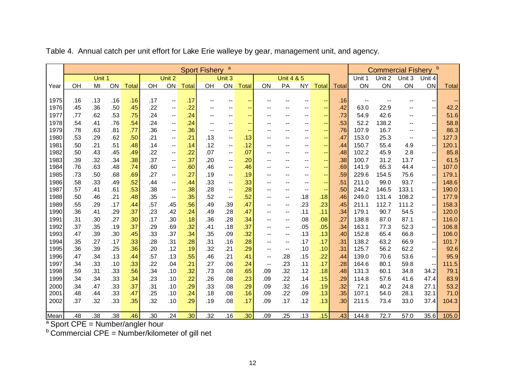|      |     |        |     |              |     |                                       |              | <b>Sport Fishery</b> | a                        |              |                          |                          |                          |                          |              |        | <b>Commercial Fishery</b> |                          | b                        |              |
|------|-----|--------|-----|--------------|-----|---------------------------------------|--------------|----------------------|--------------------------|--------------|--------------------------|--------------------------|--------------------------|--------------------------|--------------|--------|---------------------------|--------------------------|--------------------------|--------------|
|      |     | Unit 1 |     |              |     | Unit 2                                |              |                      | Unit 3                   |              |                          | <b>Unit 4 &amp; 5</b>    |                          |                          |              | Unit 1 | Unit 2                    | Unit 3                   | Unit 4                   |              |
| Year | OH  | MI     | ON  | <b>Total</b> | OH  | ON                                    | <b>Total</b> | OH                   | ON                       | <b>Total</b> | ON                       | PA                       | <b>NY</b>                | Total                    | <b>Total</b> | ON     | ON                        | ON                       | ON                       | <b>Total</b> |
|      |     |        |     |              |     |                                       |              |                      |                          |              |                          |                          |                          |                          |              |        |                           |                          |                          |              |
| 1975 | .16 | .13    | .16 | .16          | .17 | $\overline{\phantom{a}}$              | .17          |                      | --                       |              |                          |                          |                          | --                       | .16          |        |                           |                          |                          |              |
| 1976 | .45 | .36    | .50 | .45          | .22 |                                       | .22          |                      |                          |              |                          |                          |                          | --                       | .42          | 63.0   | 22.9                      |                          | --                       | 42.2         |
| 1977 | .77 | .62    | .53 | .75          | .24 | $\overline{\phantom{a}}$              | .24          |                      |                          |              |                          |                          |                          | $\rightarrow$            | .73          | 54.9   | 42.6                      |                          | $\overline{\phantom{a}}$ | 51.6         |
| 1978 | .54 | .41    | .76 | .54          | .24 | $\overline{\phantom{a}}$              | .24          |                      |                          |              |                          |                          |                          | --                       | .53          | 52.2   | 138.2                     |                          | $\overline{\phantom{a}}$ | 58.8         |
| 1979 | .78 | .63    | .81 | .77          | .36 | $\overline{a}$                        | .36          | --                   |                          |              |                          |                          |                          | --                       | .76          | 107.9  | 16.7                      | --                       | $\overline{\phantom{a}}$ | 86.3         |
| 1980 | .53 | .29    | .62 | .50          | .21 | $\hspace{0.05cm}$ – $\hspace{0.05cm}$ | .21          | .13                  | $\overline{\phantom{a}}$ | .13          |                          |                          |                          | --                       | .47          | 153.0  | 25.3                      | $\overline{\phantom{m}}$ | $\overline{\phantom{a}}$ | 127.3        |
| 1981 | .50 | .21    | .51 | .48          | .14 | $\hspace{0.05cm}$ $\hspace{0.05cm}$   | .14          | .12                  | --                       | .12          |                          |                          |                          | --                       | .44          | 150.7  | 55.4                      | 4.9                      | --                       | 120.1        |
| 1982 | .50 | .43    | .45 | .49          | .22 | $\overline{\phantom{a}}$              | .22          | .07                  | $\overline{\phantom{a}}$ | .07          |                          |                          |                          | $\overline{\phantom{m}}$ | .48          | 102.2  | 45.9                      | 2.8                      | $\overline{\phantom{a}}$ | 85.8         |
| 1983 | .39 | .32    | .34 | .38          | .37 | $\hspace{0.05cm}$ – $\hspace{0.05cm}$ | .37          | .20                  | --                       | .20          | --                       |                          | --                       | $\overline{\phantom{m}}$ | .38          | 100.7  | 31.2                      | 13.7                     | $\overline{\phantom{a}}$ | 61.5         |
| 1984 | .76 | .63    | .48 | .74          | .60 | $\overline{\phantom{a}}$              | .60          | .46                  | $\overline{\phantom{a}}$ | .46          | $\overline{\phantom{a}}$ | $\overline{\phantom{a}}$ | --                       | $\sim$                   | .69          | 141.9  | 65.3                      | 44.4                     | $\overline{\phantom{a}}$ | 107.0        |
| 1985 | .73 | .50    | .68 | .69          | .27 | $\hspace{0.05cm}$ – $\hspace{0.05cm}$ | .27          | .19                  | --                       | .19          | $-$                      |                          |                          | --                       | .59          | 229.6  | 154.5                     | 75.6                     | $\overline{\phantom{a}}$ | 179.1        |
| 1986 | .58 | .33    | .49 | .52          | .44 | $\overline{\phantom{a}}$              | .44          | .33                  |                          | .33          | $-$                      |                          |                          | $\overline{\phantom{m}}$ | .51          | 211.0  | 99.0                      | 93.7                     | $\overline{\phantom{a}}$ | 148.6        |
| 1987 | .57 | .41    | .61 | .53          | .38 | $\overline{\phantom{a}}$              | .38          | .28                  | --                       | .28          | $-$                      | --                       | $\overline{\phantom{a}}$ | $\sim$                   | .50          | 244.2  | 146.5                     | 133.1                    | $\overline{\phantom{a}}$ | 190.0        |
| 1988 | .50 | .46    | .21 | .48          | .35 | $\overline{\phantom{a}}$              | .35          | .52                  | --                       | .52          | --                       |                          | .18                      | .18                      | .46          | 249.0  | 131.4                     | 108.2                    |                          | 177.9        |
| 1989 | .55 | .29    | .17 | .44          | .57 | .45                                   | .56          | .49                  | .39                      | .47          | --                       |                          | .23                      | .23                      | .45          | 211.1  | 112.7                     | 111.2                    | $-$                      | 158.3        |
| 1990 | .36 | .41    | .29 | .37          | .23 | .42                                   | .24          | .49                  | .28                      | .47          | --                       | $-$                      | .11                      | .11                      | .34          | 179.1  | 90.7                      | 54.5                     | $-$                      | 120.0        |
| 1991 | .31 | .30    | .27 | .30          | .17 | .30                                   | .18          | .36                  | .28                      | .34          | --                       |                          | .08                      | .08                      | .27          | 138.8  | 87.0                      | 87.1                     |                          | 116.0        |
| 1992 | .37 | .35    | .19 | .37          | .29 | .69                                   | .32          | .41                  | .18                      | .37          | --                       |                          | .05                      | .05                      | .34          | 163.1  | 77.3                      | 52.3                     | $\overline{\phantom{a}}$ | 106.8        |
| 1993 | .47 | .39    | .30 | .45          | .33 | .37                                   | .34          | .35                  | .09                      | .32          | $-$                      | $-$                      | .13                      | .13                      | .40          | 152.8  | 65.4                      | 66.8                     | $\overline{\phantom{a}}$ | 106.0        |
| 1994 | .35 | .27    | .17 | .33          | .28 | .31                                   | .28          | .31                  | .16                      | .28          | $\overline{\phantom{a}}$ | $\overline{\phantom{a}}$ | .17                      | .17                      | .31          | 138.2  | 63.2                      | 66.9                     |                          | 101.7        |
| 1995 | .36 | .39    | .25 | .36          | .20 | .12                                   | .19          | .32                  | .21                      | .29          | $- -$                    |                          | .10                      | .10                      | .31          | 125.7  | 56.2                      | 62.2                     | $\overline{\phantom{a}}$ | 92.6         |
| 1996 | .47 | .34    | .13 | .44          | .57 | .13                                   | .55          | .46                  | .21                      | .41          | $\mathbf{u}$             | .28                      | .15                      | .22                      | .44          | 139.0  | 70.6                      | 53.6                     | $-$                      | 95.9         |
| 1997 | .34 | .33    | .10 | .33          | .22 | .04                                   | .21          | .27                  | .06                      | .24          | $-\,-$                   | .23                      | .11                      | .17                      | .28          | 164.6  | 80.1                      | 59.8                     | $\overline{\phantom{a}}$ | 111.5        |
| 1998 | .59 | .31    | .33 | .56          | .34 | .10                                   | .32          | .73                  | .08                      | .65          | .09                      | .32                      | .12                      | .18                      | .48          | 131.3  | 60.1                      | 34.8                     | 34.2                     | 79.1         |
| 1999 | .34 | .34    | .33 | .34          | .23 | .10                                   | .22          | .26                  | .08                      | .23          | .09                      | .22                      | .14                      | .15                      | .29          | 114.8  | 57.6                      | 41.6                     | 47.4                     | 83.9         |
| 2000 | .34 | .47    | .33 | .37          | .31 | .10                                   | .29          | .33                  | .08                      | .29          | .09                      | .32                      | .16                      | .19                      | .32          | 72.1   | 40.2                      | 24.8                     | 27.1                     | 53.2         |
| 2001 | .48 | .44    | .33 | .47          | .25 | .10                                   | .24          | .18                  | .08                      | .16          | .09                      | .22                      | .09                      | .13                      | .35          | 107.1  | 54.0                      | 28.1                     | 32.1                     | 71.0         |
| 2002 | .37 | .32    | .33 | .35          | .32 | .10                                   | .29          | .19                  | .08                      | .17          | .09                      | .17                      | .12                      | .13                      | .30          | 211.5  | 73.4                      | 33.0                     | 37.4                     | 104.3        |
|      |     |        |     |              |     |                                       |              |                      |                          |              |                          |                          |                          |                          |              |        |                           |                          |                          |              |
| Mean | .48 | .38    | .38 | .46          | .30 | .24                                   | .30          | .32                  | .16                      | .30          | .09                      | .25                      | .13                      | .15                      | .43          | 144.8  | 72.7                      | 57.0                     | 35.6                     | 105.0        |

Table 4. Annual catch per unit effort for Lake Erie walleye by gear, management unit, and agency.

<sup>a</sup> Sport CPE = Number/angler hour

 $b$  Commercial CPE = Number/kilometer of gill net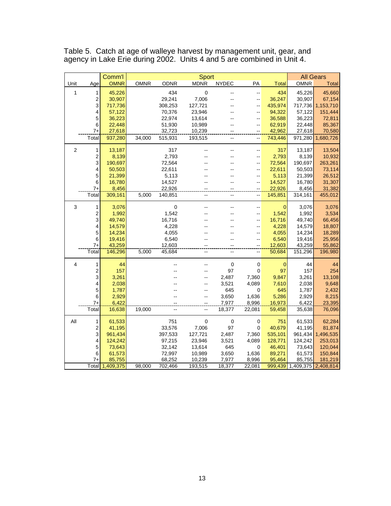|                |                  | Comm'l           |             |                   | <b>Sport</b>     |              |                                            |                  |                             | <b>All Gears</b>  |
|----------------|------------------|------------------|-------------|-------------------|------------------|--------------|--------------------------------------------|------------------|-----------------------------|-------------------|
| Unit           | Age              | <b>OMNR</b>      | <b>OMNR</b> | <b>ODNR</b>       | <b>MDNR</b>      | <b>NYDEC</b> | PA                                         | <b>Total</b>     | <b>OMNR</b>                 | Total             |
|                |                  |                  |             |                   |                  |              |                                            |                  |                             |                   |
| 1              | 1                | 45,226           |             | 434               | $\mathbf 0$      |              | $\overline{a}$                             | 434              | 45,226                      | 45,660            |
|                | 2<br>3           | 30,907           |             | 29,241            | 7,006            |              | $\overline{a}$                             | 36,247           | 30,907                      | 67,154            |
|                |                  | 717,736          |             | 308,253<br>70,376 | 127,721          |              | $\overline{\phantom{a}}$<br>$\overline{a}$ | 435,974          | 717,736                     | 1,153,710         |
|                | 4<br>5           | 57,122<br>36,223 |             | 22,974            | 23,946<br>13,614 |              |                                            | 94,322<br>36,588 | 57,122<br>36,223            | 151,444<br>72,811 |
|                | 6                | 22,448           |             | 51,930            | 10,989           |              | $\overline{a}$                             | 62,919           | 22,448                      | 85,367            |
|                | 7+               | 27,618           |             | 32,723            | 10,239           |              |                                            | 42,962           | 27,618                      | 70,580            |
|                | Total            | 937,280          | 34,000      | 515,931           | 193,515          |              |                                            | 743,446          | 971,280                     | 1,680,726         |
|                |                  |                  |             |                   |                  |              |                                            |                  |                             |                   |
| $\overline{2}$ | 1                | 13,187           |             | 317               |                  |              | --                                         | 317              | 13,187                      | 13,504            |
|                | $\overline{c}$   | 8,139            |             | 2,793             |                  |              | $-$                                        | 2,793            | 8,139                       | 10,932            |
|                | 3                | 190,697          |             | 72,564            |                  |              |                                            | 72,564           | 190,697                     | 263,261           |
|                | 4                | 50,503           |             | 22,611            |                  |              |                                            | 22,611           | 50,503                      | 73,114            |
|                | 5                | 21,399           |             | 5,113             |                  |              | $\overline{a}$                             | 5,113            | 21,399                      | 26,512            |
|                | 6                | 16,780           |             | 14,527            |                  |              |                                            | 14,527           | 16,780                      | 31,307            |
|                | $7+$             | 8,456            |             | 22,926            |                  |              |                                            | 22,926           | 8,456                       | 31,382            |
|                | Total            | 309,161          | 5,000       | 140,851           | ц.               | $-$          |                                            | 145,851          | 314,161                     | 455,012           |
| 3              | 1                | 3,076            |             | $\pmb{0}$         |                  |              |                                            | 0                | 3,076                       | 3,076             |
|                | $\overline{c}$   | 1,992            |             | 1,542             |                  |              |                                            | 1,542            | 1,992                       | 3,534             |
|                | 3                | 49,740           |             | 16,716            |                  |              | $\overline{a}$                             | 16,716           | 49,740                      | 66,456            |
|                | 4                | 14,579           |             | 4,228             |                  |              |                                            | 4,228            | 14,579                      | 18,807            |
|                | 5                | 14,234           |             | 4,055             |                  |              | --                                         | 4,055            | 14,234                      | 18,289            |
|                | 6                | 19,416           |             | 6,540             |                  |              |                                            | 6,540            | 19,416                      | 25,956            |
|                | $7+$             | 43,259           |             | 12,603            |                  |              |                                            | 12,603           | 43,259                      | 55,862            |
|                | Total            | 146,296          | 5,000       | 45,684            | --               | $\sim$       | $\sim$                                     | 50,684           | 151,296                     | 196,980           |
| 4              | 1                | 44               |             |                   |                  | $\mathbf 0$  | $\mathbf 0$                                | $\mathbf 0$      | 44                          | 44                |
|                | 2                | 157              |             |                   |                  | 97           | 0                                          | 97               | 157                         | 254               |
|                | 3                | 3,261            |             |                   |                  | 2,487        | 7,360                                      | 9,847            | 3,261                       | 13,108            |
|                | 4                | 2,038            |             |                   |                  | 3,521        | 4,089                                      | 7,610            | 2,038                       | 9,648             |
|                | 5                | 1,787            |             |                   |                  | 645          | 0                                          | 645              | 1,787                       | 2,432             |
|                | 6                | 2,929            |             |                   |                  | 3,650        | 1,636                                      | 5,286            | 2,929                       | 8,215             |
|                | 7+               | 6,422            |             |                   |                  | 7,977        | 8,996                                      | 16,973           | 6,422                       | 23,395            |
|                | Total            | 16,638           | 19,000      |                   |                  | 18,377       | 22,081                                     | 59,458           | 35,638                      | 76,096            |
| All            | 1                | 61,533           |             | 751               | $\pmb{0}$        | $\mathbf 0$  | $\pmb{0}$                                  | 751              | 61,533                      | 62,284            |
|                | $\boldsymbol{2}$ | 41,195           |             | 33,576            | 7,006            | 97           | $\mathbf 0$                                | 40,679           | 41,195                      | 81,874            |
|                | 3                | 961,434          |             | 397,533           | 127,721          | 2,487        | 7,360                                      | 535,101          | 961,434                     | 1,496,535         |
|                | 4                | 124,242          |             | 97,215            | 23,946           | 3,521        | 4,089                                      | 128,771          | 124,242                     | 253,013           |
|                | 5                | 73,643           |             | 32,142            | 13,614           | 645          | 0                                          | 46,401           | 73,643                      | 120,044           |
|                | 6                | 61,573           |             | 72,997            | 10,989           | 3,650        | 1,636                                      | 89,271           | 61,573                      | 150,844           |
|                | 7+               | 85,755           |             | 68,252            | 10,239           | 7,977        | 8,996                                      | 95,464           | 85,755                      | 181,219           |
|                |                  | Total 1,409,375  | 98,000      | 702,466           | 193,515          | 18,377       | 22,081                                     |                  | 999,439 1,409,375 2,408,814 |                   |

Table 5. Catch at age of walleye harvest by management unit, gear, and agency in Lake Erie during 2002. Units 4 and 5 are combined in Unit 4.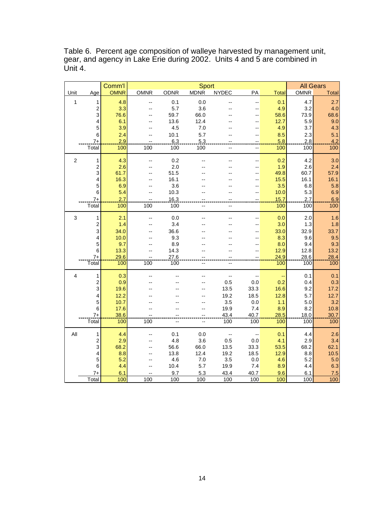Table 6. Percent age composition of walleye harvested by management unit, gear, and agency in Lake Erie during 2002. Units 4 and 5 are combined in Unit  $4.$ 

|              |                         | Comm'l      |             |             | Sport       |              |         |              |             | <b>All Gears</b> |
|--------------|-------------------------|-------------|-------------|-------------|-------------|--------------|---------|--------------|-------------|------------------|
| Unit         | Age                     | <b>OMNR</b> | <b>OMNR</b> | <b>ODNR</b> | <b>MDNR</b> | <b>NYDEC</b> | PA      | <b>Total</b> | <b>OMNR</b> | Total            |
| 1            | 1                       | 4.8         | --          | 0.1         | 0.0         | ۵.           | --      | 0.1          | 4.7         | 2.7              |
|              | $\boldsymbol{2}$        | 3.3         |             | 5.7         | 3.6         |              |         | 4.9          | 3.2         | 4.0              |
|              | 3                       | 76.6        |             | 59.7        | 66.0        |              | --      | 58.6         | 73.9        | 68.6             |
|              | 4                       | 6.1         |             | 13.6        | 12.4        |              |         | 12.7         | 5.9         | 9.0              |
|              | 5                       | 3.9         |             | 4.5         | 7.0         |              |         | 4.9          | 3.7         | 4.3              |
|              | 6                       | 2.4         |             | 10.1        | 5.7         |              | --      | 8.5          | 2.3         | 5.1              |
|              | $7+$                    | 2.9         |             | 6.3         | 5.3         |              |         | 5.8          | 2.8         | 4.2              |
|              | Total                   | 100         | 100         | 100         | 100         | ۵.           | --      | 100          | 100         | 100              |
| $\sqrt{2}$   | 1                       | 4.3         |             | 0.2         |             |              | ۵.      | 0.2          | 4.2         | 3.0              |
|              | $\overline{\mathbf{c}}$ | 2.6         |             | 2.0         |             |              |         | 1.9          | 2.6         | 2.4              |
|              | 3                       | 61.7        |             | 51.5        |             |              |         | 49.8         | 60.7        | 57.9             |
|              | 4                       | 16.3        |             | 16.1        |             |              | --      | 15.5         | 16.1        | 16.1             |
|              | 5                       | 6.9         |             | 3.6         |             |              |         | 3.5          | 6.8         | 5.8              |
|              | 6                       | 5.4         |             | 10.3        |             |              |         | 10.0         | 5.3         | 6.9              |
|              | $7+$                    | 2.7         |             | 16.3        |             |              |         | 15.7         | 2.7         | 6.9              |
|              | Total                   | 100         | 100         | 100         |             |              |         | 100          | 100         | 100              |
| $\mathbf{3}$ | $\mathbf{1}$            | 2.1         |             | 0.0         |             |              | --      | 0.0          | 2.0         | 1.6              |
|              | $\boldsymbol{2}$        | 1.4         | --          | 3.4         |             |              |         | 3.0          | 1.3         | 1.8              |
|              | 3                       | 34.0        |             | 36.6        |             |              |         | 33.0         | 32.9        | 33.7             |
|              | 4                       | 10.0        |             | 9.3         |             |              |         | 8.3          | 9.6         | 9.5              |
|              | 5                       | 9.7         | --          | 8.9         |             |              | ۵.      | 8.0          | 9.4         | 9.3              |
|              | 6                       | 13.3        | --          | 14.3        |             |              |         | 12.9         | 12.8        | 13.2             |
|              | $7+$                    | 29.6        | --          | 27.6        |             |              |         | 24.9         | 28.6        | 28.4             |
|              | Total                   | 100         | 100         | 100         | --          |              |         | 100          | 100         | 100              |
| 4            | $\mathbf{1}$            | 0.3         |             |             |             | --           |         |              | 0.1         | 0.1              |
|              | $\boldsymbol{2}$        | 0.9         |             |             |             | 0.5          | 0.0     | 0.2          | 0.4         | 0.3              |
|              | 3                       | 19.6        |             |             |             | 13.5         | 33.3    | 16.6         | 9.2         | 17.2             |
|              | 4                       | 12.2        |             |             |             | 19.2         | 18.5    | 12.8         | 5.7         | 12.7             |
|              | $\overline{5}$          | 10.7        |             |             |             | 3.5          | 0.0     | 1.1          | 5.0         | 3.2              |
|              | $\,6$                   | 17.6        |             |             |             | 19.9         | 7.4     | 8.9          | 8.2         | 10.8             |
|              | $7+$                    | 38.6        | 100         |             |             | 43.4         | 40.7    | 28.5         | 18.0        | 30.7             |
|              | Total                   | 100         |             |             |             | 100          | 100     | 100          | 100         | $\frac{1}{100}$  |
| All          | 1                       | 4.4         |             | 0.1         | 0.0         | --           | --      | 0.1          | 4.4         | 2.6              |
|              | $\overline{\mathbf{c}}$ | 2.9         |             | 4.8         | 3.6         | 0.5          | $0.0\,$ | 4.1          | 2.9         | 3.4              |
|              | 3                       | 68.2        |             | 56.6        | 66.0        | 13.5         | 33.3    | 53.5         | 68.2        | 62.1             |
|              | 4                       | 8.8         |             | 13.8        | 12.4        | 19.2         | 18.5    | 12.9         | 8.8         | 10.5             |
|              | 5                       | 5.2         |             | 4.6         | 7.0         | 3.5          | $0.0\,$ | 4.6          | 5.2         | 5.0              |
|              | 6                       | 4.4         |             | 10.4        | 5.7         | 19.9         | 7.4     | 8.9          | 4.4         | 6.3              |
|              | 7+                      | 6.1         |             | 9.7         | 5.3         | 43.4         | 40.7    | 9.6          | 6.1         | 7.5              |
|              | Total                   | 100         | 100         | 100         | 100         | 100          | 100     | 100          | 100         | 100              |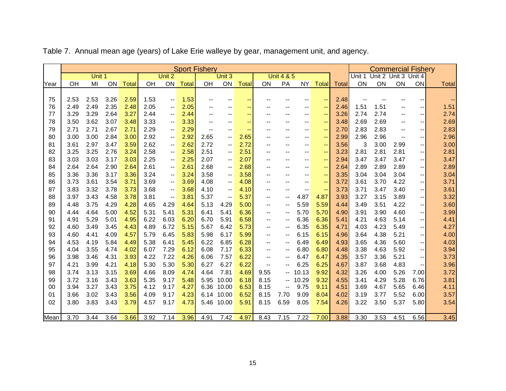|      |      |        |      |              |      |                          |       | <b>Sport Fishery</b>     |                                       |                          |                          |                          |       |                          |              |        | <b>Commercial Fishery</b> |                          |                          |              |
|------|------|--------|------|--------------|------|--------------------------|-------|--------------------------|---------------------------------------|--------------------------|--------------------------|--------------------------|-------|--------------------------|--------------|--------|---------------------------|--------------------------|--------------------------|--------------|
|      |      | Unit 1 |      |              |      | Unit 2                   |       |                          | Unit 3                                |                          |                          | <b>Unit 4 &amp; 5</b>    |       |                          |              | Unit 1 | Unit 2 Unit 3 Unit 4      |                          |                          |              |
| Year | OH   | MI     | ON   | <b>Total</b> | OH   | ON                       | Total | OH                       | ON                                    | <b>Total</b>             | ON                       | PA                       | NY.   | <b>Total</b>             | <b>Total</b> | ON     | ON                        | ON                       | ON                       | <b>Total</b> |
|      |      |        |      |              |      |                          |       |                          |                                       |                          |                          |                          |       |                          |              |        |                           |                          |                          |              |
| 75   | 2.53 | 2.53   | 3.26 | 2.59         | 1.53 | $\overline{\phantom{a}}$ | 1.53  | $\overline{\phantom{a}}$ | $-$                                   | $\overline{\phantom{a}}$ | $- -$                    |                          |       | $\sim$                   | 2.48         |        |                           | $-$                      | --                       | ÷            |
| 76   | 2.49 | 2.49   | 2.35 | 2.48         | 2.05 | $\overline{\phantom{a}}$ | 2.05  | $\overline{\phantom{m}}$ | $\overline{\phantom{a}}$              | --                       |                          | --                       | --    | $\sim$                   | 2.46         | 1.51   | 1.51                      | $\overline{\phantom{a}}$ | $\overline{\phantom{a}}$ | 1.51         |
| 77   | 3.29 | 3.29   | 2.64 | 3.27         | 2.44 | $\overline{\phantom{a}}$ | 2.44  | $\overline{\phantom{a}}$ | $\qquad \qquad -$                     | $\sim$                   |                          | --                       | --    | $\sim$                   | 3.26         | 2.74   | 2.74                      |                          | $\overline{\phantom{a}}$ | 2.74         |
| 78   | 3.50 | 3.62   | 3.07 | 3.48         | 3.33 | $\overline{\phantom{a}}$ | 3.33  | $-$                      |                                       | $\sim$                   |                          |                          |       | $\overline{\phantom{a}}$ | 3.48         | 2.69   | 2.69                      |                          | $\overline{\phantom{a}}$ | 2.69         |
| 79   | 2.71 | 2.71   | 2.67 | 2.71         | 2.29 | $\overline{\phantom{a}}$ | 2.29  | $\overline{\phantom{m}}$ |                                       | $\overline{\phantom{a}}$ |                          |                          | --    | $\overline{\phantom{a}}$ | 2.70         | 2.83   | 2.83                      |                          | $\overline{\phantom{a}}$ | 2.83         |
| 80   | 3.00 | 3.00   | 2.84 | 3.00         | 2.92 | $\overline{\phantom{a}}$ | 2.92  | 2.65                     | $\overline{\phantom{m}}$              | 2.65                     |                          | --                       | --    | $\overline{\phantom{a}}$ | 2.99         | 2.96   | 2.96                      |                          | $\overline{\phantom{a}}$ | 2.96         |
| 81   | 3.61 | 2.97   | 3.47 | 3.59         | 2.62 | $\overline{\phantom{a}}$ | 2.62  | 2.72                     | $\hspace{0.05cm}$ – $\hspace{0.05cm}$ | 2.72                     |                          | --                       | --    | $\sim$                   | 3.56         | 3      | 3.00                      | 2.99                     |                          | 3.00         |
| 82   | 3.25 | 3.25   | 2.76 | 3.24         | 2.58 | $\overline{\phantom{a}}$ | 2.58  | 2.51                     | $\overline{\phantom{a}}$              | 2.51                     |                          | --                       | --    | $\overline{\phantom{m}}$ | 3.23         | 2.81   | 2.81                      | 2.81                     | $\overline{\phantom{a}}$ | 2.81         |
| 83   | 3.03 | 3.03   | 3.17 | 3.03         | 2.25 | $\overline{\phantom{a}}$ | 2.25  | 2.07                     | $\hspace{0.05cm}$ – $\hspace{0.05cm}$ | 2.07                     |                          | --                       | --    | $\overline{\phantom{a}}$ | 2.94         | 3.47   | 3.47                      | 3.47                     | --                       | 3.47         |
| 84   | 2.64 | 2.64   | 2.90 | 2.64         | 2.61 | $\overline{\phantom{m}}$ | 2.61  | 2.68                     | $\overline{\phantom{m}}$              | 2.68                     | $\overline{\phantom{a}}$ | --                       | --    | $\sim$                   | 2.64         | 2.89   | 2.89                      | 2.89                     | --                       | 2.89         |
| 85   | 3.36 | 3.36   | 3.17 | 3.36         | 3.24 | $\overline{\phantom{a}}$ | 3.24  | 3.58                     | $\overline{\phantom{m}}$              | 3.58                     | $-$                      | $- -$                    | $- -$ | $\sim$                   | 3.35         | 3.04   | 3.04                      | 3.04                     | --                       | 3.04         |
| 86   | 3.73 | 3.61   | 3.54 | 3.71         | 3.69 | $\overline{\phantom{a}}$ | 3.69  | 4.08                     | $\overline{\phantom{m}}$              | 4.08                     | $-$                      | --                       | $-$   | $\sim$                   | 3.72         | 3.61   | 3.70                      | 4.22                     | --                       | 3.71         |
| 87   | 3.83 | 3.32   | 3.78 | 3.73         | 3.68 | $\overline{\phantom{a}}$ | 3.68  | 4.10                     | $\overline{\phantom{a}}$              | 4.10                     | $- -$                    | --                       | --    | $\sim$                   | 3.73         | 3.71   | 3.47                      | 3.40                     | $\overline{\phantom{a}}$ | 3.61         |
| 88   | 3.97 | 3.43   | 4.58 | 3.78         | 3.81 | $\overline{\phantom{a}}$ | 3.81  | 5.37                     | $\overline{\phantom{a}}$              | 5.37                     | $-$                      | $- -$                    | 4.87  | 4.87                     | 3.93         | 3.27   | 3.15                      | 3.89                     | $\overline{\phantom{a}}$ | 3.32         |
| 89   | 4.48 | 3.75   | 4.29 | 4.28         | 4.65 | 4.29                     | 4.64  | 5.13                     | 4.29                                  | 5.00                     |                          |                          | 5.59  | 5.59                     | 4.44         | 3.49   | 3.51                      | 4.22                     | $\overline{\phantom{a}}$ | 3.60         |
| 90   | 4.44 | 4.64   | 5.00 | 4.52         | 5.31 | 5.41                     | 5.31  | 6.41                     | 5.41                                  | 6.36                     | $- -$                    |                          | 5.70  | 5.70                     | 4.90         | 3.91   | 3.90                      | 4.60                     | $\overline{\phantom{a}}$ | 3.99         |
| 91   | 4.91 | 5.29   | 5.01 | 4.95         | 6.22 | 6.03                     | 6.20  | 6.70                     | 5.91                                  | 6.58                     | $\overline{\phantom{a}}$ |                          | 6.36  | 6.36                     | 5.41         | 4.21   | 4.63                      | 5.14                     | --                       | 4.41         |
| 92   | 4.60 | 3.49   | 3.45 | 4.43         | 4.89 | 6.72                     | 5.15  | 5.67                     | 6.42                                  | 5.73                     |                          | --                       | 6.35  | 6.35                     | 4.71         | 4.03   | 4.23                      | 5.49                     | $\overline{\phantom{a}}$ | 4.27         |
| 93   | 4.60 | 4.41   | 4.09 | 4.57         | 5.79 | 6.45                     | 5.83  | 5.98                     | 6.17                                  | 5.99                     | $\overline{\phantom{a}}$ |                          | 6.15  | 6.15                     | 4.96         | 3.64   | 4.38                      | 5.21                     | $\overline{\phantom{a}}$ | 4.00         |
| 94   | 4.53 | 4.19   | 5.84 | 4.49         | 5.38 | 6.41                     | 5.45  | 6.22                     | 6.85                                  | 6.28                     | $- -$                    |                          | 6.49  | 6.49                     | 4.93         | 3.65   | 4.36                      | 5.60                     | $\overline{\phantom{a}}$ | 4.03         |
| 95   | 4.04 | 3.55   | 4.74 | 4.02         | 6.07 | 7.29                     | 6.12  | 6.08                     | 7.17                                  | 6.33                     | $-$                      |                          | 6.80  | 6.80                     | 4.48         | 3.38   | 4.63                      | 5.92                     |                          | 3.94         |
| 96   | 3.98 | 3.46   | 4.31 | 3.93         | 4.22 | 7.22                     | 4.26  | 6.06                     | 7.57                                  | 6.22                     | $\overline{\phantom{m}}$ |                          | 6.47  | 6.47                     | 4.35         | 3.57   | 3.36                      | 5.21                     | --                       | 3.73         |
| 97   | 4.21 | 3.99   | 4.21 | 4.18         | 5.30 | 5.30                     | 5.30  | 6.27                     | 6.27                                  | 6.22                     | $-$                      |                          | 6.25  | 6.25                     | 4.67         | 3.87   | 3.68                      | 4.83                     | $\overline{\phantom{a}}$ | 3.96         |
| 98   | 3.74 | 3.13   | 3.15 | 3.69         | 4.66 | 8.09                     | 4.74  | 4.64                     | 7.81                                  | 4.69                     | 9.55                     | $-$                      | 10.13 | 9.92                     | 4.32         | 3.26   | 4.00                      | 5.26                     | 7.00                     | 3.72         |
| 99   | 3.72 | 3.16   | 3.43 | 3.63         | 5.35 | 9.17                     | 5.48  | 5.95                     | 10.00                                 | 6.18                     | 8.15                     | $\overline{\phantom{a}}$ | 10.29 | 9.32                     | 4.55         | 3.41   | 4.29                      | 5.28                     | 6.76                     | 3.81         |
| 00   | 3.94 | 3.27   | 3.43 | 3.75         | 4.12 | 9.17                     | 4.27  | 6.36                     | 10.00                                 | 6.53                     | 8.15                     | $- -$                    | 9.75  | 9.11                     | 4.51         | 3.69   | 4.67                      | 5.65                     | 6.46                     | 4.11         |
| 01   | 3.66 | 3.02   | 3.43 | 3.56         | 4.09 | 9.17                     | 4.23  | 6.14                     | 10.00                                 | 6.52                     | 8.15                     | 7.70                     | 9.09  | 8.04                     | 4.02         | 3.19   | 3.77                      | 5.52                     | 6.00                     | 3.57         |
| 02   | 3.80 | 3.83   | 3.43 | 3.79         | 4.57 | 9.17                     | 4.73  | 5.46                     | 10.00                                 | 5.91                     | 8.15                     | 6.59                     | 8.05  | 7.54                     | 4.26         | 3.22   | 3.50                      | 5.37                     | 5.80                     | 3.54         |
|      |      |        |      |              |      |                          |       |                          |                                       |                          |                          |                          |       |                          |              |        |                           |                          |                          |              |
| Mean | 3.70 | 3.44   | 3.64 | 3.66         | 3.92 | 7.14                     | 3.96  | 4.91                     | 7.42                                  | 4.97                     | 8.43                     | 7.15                     | 7.22  | 7.00                     | 3.88         | 3.30   | 3.53                      | 4.51                     | 6.56                     | 3.45         |

Table 7. Annual mean age (years) of Lake Erie walleye by gear, management unit, and agency.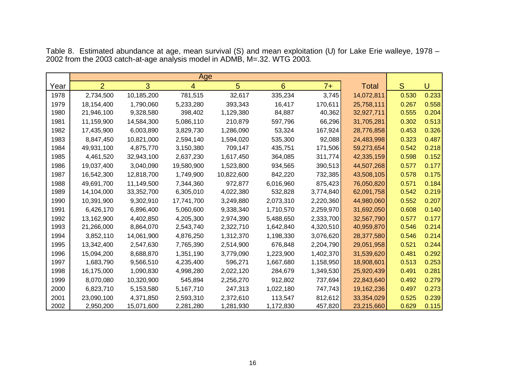|      |                |            | Age        |            |                 |           |              |       |       |
|------|----------------|------------|------------|------------|-----------------|-----------|--------------|-------|-------|
| Year | $\overline{2}$ | 3          | 4          | 5          | $6\overline{6}$ | $7+$      | <b>Total</b> | S.    | U     |
| 1978 | 2,734,500      | 10,185,200 | 781,515    | 32,617     | 335,234         | 3,745     | 14,072,811   | 0.530 | 0.233 |
| 1979 | 18,154,400     | 1,790,060  | 5,233,280  | 393,343    | 16,417          | 170,611   | 25,758,111   | 0.267 | 0.558 |
| 1980 | 21,946,100     | 9,328,580  | 398,402    | 1,129,380  | 84,887          | 40,362    | 32,927,711   | 0.555 | 0.204 |
| 1981 | 11,159,900     | 14,584,300 | 5,086,110  | 210,879    | 597,796         | 66,296    | 31,705,281   | 0.302 | 0.513 |
| 1982 | 17,435,900     | 6,003,890  | 3,829,730  | 1,286,090  | 53,324          | 167,924   | 28,776,858   | 0.453 | 0.326 |
| 1983 | 8,847,450      | 10,821,000 | 2,594,140  | 1,594,020  | 535,300         | 92,088    | 24,483,998   | 0.323 | 0.487 |
| 1984 | 49,931,100     | 4,875,770  | 3,150,380  | 709,147    | 435,751         | 171,506   | 59,273,654   | 0.542 | 0.218 |
| 1985 | 4,461,520      | 32,943,100 | 2,637,230  | 1,617,450  | 364,085         | 311,774   | 42,335,159   | 0.598 | 0.152 |
| 1986 | 19,037,400     | 3,040,090  | 19,580,900 | 1,523,800  | 934,565         | 390,513   | 44,507,268   | 0.577 | 0.177 |
| 1987 | 16,542,300     | 12,818,700 | 1,749,900  | 10,822,600 | 842,220         | 732,385   | 43,508,105   | 0.578 | 0.175 |
| 1988 | 49,691,700     | 11,149,500 | 7,344,360  | 972,877    | 6,016,960       | 875,423   | 76,050,820   | 0.571 | 0.184 |
| 1989 | 14,104,000     | 33,352,700 | 6,305,010  | 4,022,380  | 532,828         | 3,774,840 | 62,091,758   | 0.542 | 0.219 |
| 1990 | 10,391,900     | 9,302,910  | 17,741,700 | 3,249,880  | 2,073,310       | 2,220,360 | 44,980,060   | 0.552 | 0.207 |
| 1991 | 6,426,170      | 6,896,400  | 5,060,600  | 9,338,340  | 1,710,570       | 2,259,970 | 31,692,050   | 0.608 | 0.140 |
| 1992 | 13,162,900     | 4,402,850  | 4,205,300  | 2,974,390  | 5,488,650       | 2,333,700 | 32,567,790   | 0.577 | 0.177 |
| 1993 | 21,266,000     | 8,864,070  | 2,543,740  | 2,322,710  | 1,642,840       | 4,320,510 | 40,959,870   | 0.546 | 0.214 |
| 1994 | 3,852,110      | 14,061,900 | 4,876,250  | 1,312,370  | 1,198,330       | 3,076,620 | 28,377,580   | 0.546 | 0.214 |
| 1995 | 13,342,400     | 2,547,630  | 7,765,390  | 2,514,900  | 676,848         | 2,204,790 | 29,051,958   | 0.521 | 0.244 |
| 1996 | 15,094,200     | 8,688,870  | 1,351,190  | 3,779,090  | 1,223,900       | 1,402,370 | 31,539,620   | 0.481 | 0.292 |
| 1997 | 1,683,790      | 9,566,510  | 4,235,400  | 596,271    | 1,667,680       | 1,158,950 | 18,908,601   | 0.513 | 0.253 |
| 1998 | 16,175,000     | 1,090,830  | 4,998,280  | 2,022,120  | 284,679         | 1,349,530 | 25,920,439   | 0.491 | 0.281 |
| 1999 | 8,070,080      | 10,320,900 | 545,894    | 2,256,270  | 912,802         | 737,694   | 22,843,640   | 0.492 | 0.279 |
| 2000 | 6,823,710      | 5,153,580  | 5,167,710  | 247,313    | 1,022,180       | 747,743   | 19,162,236   | 0.497 | 0.273 |
| 2001 | 23,090,100     | 4,371,850  | 2,593,310  | 2,372,610  | 113,547         | 812,612   | 33,354,029   | 0.525 | 0.239 |
| 2002 | 2,950,200      | 15,071,600 | 2,281,280  | 1,281,930  | 1,172,830       | 457,820   | 23,215,660   | 0.629 | 0.115 |

Table 8. Estimated abundance at age, mean survival (S) and mean exploitation (U) for Lake Erie walleye, 1978 – from the 2003 catch-at-age analysis model in ADMB, M=.32. WTG 2003.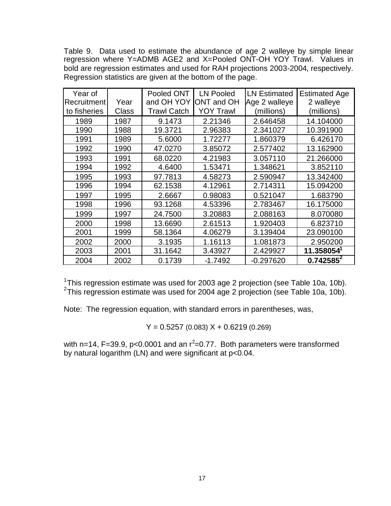Table 9. Data used to estimate the abundance of age 2 walleye by simple linear regression where Y=ADMB AGE2 and X=Pooled ONT-OH YOY Trawl. Values in bold are regression estimates and used for RAH projections 2003-2004, respectively. Regression statistics are given at the bottom of the page.

| Year of<br>Recruitment | Year  | Pooled ONT<br>and OH YOY | <b>LN Pooled</b><br>ONT and OH | <b>LN Estimated</b><br>Age 2 walleye | <b>Estimated Age</b><br>2 walleye |
|------------------------|-------|--------------------------|--------------------------------|--------------------------------------|-----------------------------------|
| to fisheries           | Class | <b>Trawl Catch</b>       | <b>YOY Trawl</b>               | (millions)                           | (millions)                        |
| 1989                   | 1987  | 9.1473                   | 2.21346                        | 2.646458                             | 14.104000                         |
| 1990                   | 1988  | 19.3721                  | 2.96383                        | 2.341027                             | 10.391900                         |
| 1991                   | 1989  | 5.6000                   | 1.72277                        | 1.860379                             | 6.426170                          |
| 1992                   | 1990  | 47.0270                  | 3.85072                        | 2.577402                             | 13.162900                         |
| 1993                   | 1991  | 68.0220                  | 4.21983                        | 3.057110                             | 21.266000                         |
| 1994                   | 1992  | 4.6400                   | 1.53471                        | 1.348621                             | 3.852110                          |
| 1995                   | 1993  | 97.7813                  | 4.58273                        | 2.590947                             | 13.342400                         |
| 1996                   | 1994  | 62.1538                  | 4.12961                        | 2.714311                             | 15.094200                         |
| 1997                   | 1995  | 2.6667                   | 0.98083                        | 0.521047                             | 1.683790                          |
| 1998                   | 1996  | 93.1268                  | 4.53396                        | 2.783467                             | 16.175000                         |
| 1999                   | 1997  | 24.7500                  | 3.20883                        | 2.088163                             | 8.070080                          |
| 2000                   | 1998  | 13.6690                  | 2.61513                        | 1.920403                             | 6.823710                          |
| 2001                   | 1999  | 58.1364                  | 4.06279                        | 3.139404                             | 23.090100                         |
| 2002                   | 2000  | 3.1935                   | 1.16113                        | 1.081873                             | 2.950200                          |
| 2003                   | 2001  | 31.1642                  | 3.43927                        | 2.429927                             | 11.358054 <sup>1</sup>            |
| 2004                   | 2002  | 0.1739                   | $-1.7492$                      | $-0.297620$                          | $0.742585^2$                      |

<sup>1</sup>This regression estimate was used for 2003 age 2 projection (see Table 10a, 10b). <sup>2</sup>This regression estimate was used for 2004 age 2 projection (see Table 10a, 10b).

Note: The regression equation, with standard errors in parentheses, was,

 $Y = 0.5257(0.083) X + 0.6219(0.269)$ 

with n=14, F=39.9, p<0.0001 and an  $r^2$ =0.77. Both parameters were transformed by natural logarithm (LN) and were significant at p<0.04.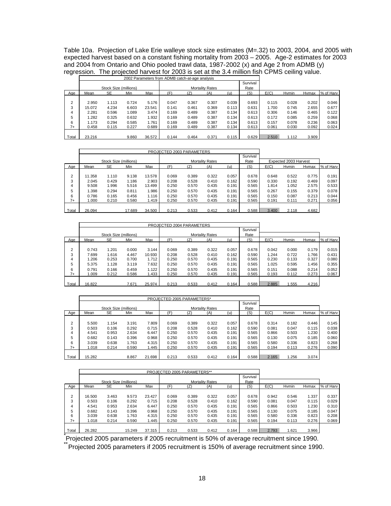Table 10a. Projection of Lake Erie walleye stock size estimates (M=.32) to 2003, 2004, and 2005 with expected harvest based on a constant fishing mortality from 2003 – 2005. Age-2 estimates for 2003 and 2004 from Ontario and Ohio pooled trawl data, 1987-2002 (x) and Age 2 from ADMB (y) regression. The projected harvest for 2003 is set at the 3.4 million fish CPMS ceiling value.

|                |        |                       |       |        | 2002 Parameters from ADMB catch-at-age analysis |       |                        |       |          |       |       |       |           |
|----------------|--------|-----------------------|-------|--------|-------------------------------------------------|-------|------------------------|-------|----------|-------|-------|-------|-----------|
|                |        |                       |       |        |                                                 |       |                        |       | Survival |       |       |       |           |
|                |        | Stock Size (millions) |       |        |                                                 |       | <b>Mortality Rates</b> |       | Rate     |       |       |       |           |
| Aae            | Mean   | <b>SE</b>             | Min   | Max    | (F)                                             | (Z)   | (A)                    | (u)   | (S)      | E(C)  | Hymin | Hymax | % of Harv |
|                |        |                       |       |        |                                                 |       |                        |       |          |       |       |       |           |
| $\overline{2}$ | 2.950  | 1.113                 | 0.724 | 5.176  | 0.047                                           | 0.367 | 0.307                  | 0.039 | 0.693    | 0.115 | 0.028 | 0.202 | 0.046     |
| 3              | 15.072 | 4.234                 | 6.603 | 23.541 | 0.141                                           | 0.461 | 0.369                  | 0.113 | 0.631    | 1.700 | 0.745 | 2.655 | 0.677     |
| 4              | 2.281  | 0.596                 | 1.089 | 3.474  | 0.169                                           | 0.489 | 0.387                  | 0.134 | 0.613    | 0.306 | 0.146 | 0.465 | 0.122     |
| 5              | 1.282  | 0.325                 | 0.632 | 1.932  | 0.169                                           | 0.489 | 0.387                  | 0.134 | 0.613    | 0.172 | 0.085 | 0.259 | 0.068     |
| 6              | 1.173  | 0.294                 | 0.585 | 1.761  | 0.169                                           | 0.489 | 0.387                  | 0.134 | 0.613    | 0.157 | 0.078 | 0.236 | 0.063     |
| $7+$           | 0.458  | 0.115                 | 0.227 | 0.689  | 0.169                                           | 0.489 | 0.387                  | 0.134 | 0.613    | 0.061 | 0.030 | 0.092 | 0.024     |
|                |        |                       |       |        |                                                 |       |                        |       |          |       |       |       |           |
| Total          | 23.216 |                       | 9.860 | 36.572 | 0.144                                           | 0.464 | 0.371                  | 0.115 | 0.629    | 2.510 | 1.112 | 3.909 |           |

|                |        |                       |        |        | PROJECTED 2003 PARAMETERS |       |                        |       |          |       |                       |       |           |
|----------------|--------|-----------------------|--------|--------|---------------------------|-------|------------------------|-------|----------|-------|-----------------------|-------|-----------|
|                |        |                       |        |        |                           |       |                        |       | Survival |       |                       |       |           |
|                |        | Stock Size (millions) |        |        |                           |       | <b>Mortality Rates</b> |       | Rate     |       | Expected 2003 Harvest |       |           |
| Age            | Mean   | <b>SE</b>             | Min    | Max    | (F)                       | (Z)   | (A)                    | (u)   | (S)      | E(C)  | Hymin                 | Hymax | % of Harv |
|                |        |                       |        |        |                           |       |                        |       |          |       |                       |       |           |
| $\overline{2}$ | 11.358 | 1.110                 | 9.138  | 13.578 | 0.069                     | 0.389 | 0.322                  | 0.057 | 0.678    | 0.648 | 0.522                 | 0.775 | 0.191     |
| 3              | 2.045  | 0.429                 | 1.186  | 2.903  | 0.208                     | 0.528 | 0.410                  | 0.162 | 0.590    | 0.330 | 0.192                 | 0.469 | 0.097     |
| 4              | 9.508  | 1.996                 | 5.516  | 13.499 | 0.250                     | 0.570 | 0.435                  | 0.191 | 0.565    | 1.814 | 1.052                 | 2.575 | 0.533     |
| 5              | 1.398  | 0.294                 | 0.811  | 1.986  | 0.250                     | 0.570 | 0.435                  | 0.191 | 0.565    | 0.267 | 0.155                 | 0.379 | 0.078     |
| 6              | 0.786  | 0.165                 | 0.456  | 1.116  | 0.250                     | 0.570 | 0.435                  | 0.191 | 0.565    | 0.150 | 0.087                 | 0.213 | 0.044     |
| $7+$           | 1.000  | 0.210                 | 0.580  | 1.419  | 0.250                     | 0.570 | 0.435                  | 0.191 | 0.565    | 0.191 | 0.111                 | 0.271 | 0.056     |
|                |        |                       |        |        |                           |       |                        |       |          |       |                       |       |           |
| Total          | 26.094 |                       | 17.689 | 34.500 | 0.213                     | 0.533 | 0.412                  | 0.164 | 0.588    | 3.400 | 2.118                 | 4.682 |           |

|       |        |                       |       |        | PROJECTED 2004 PARAMETERS |       |                        |       |          |       |       |       |           |
|-------|--------|-----------------------|-------|--------|---------------------------|-------|------------------------|-------|----------|-------|-------|-------|-----------|
|       |        |                       |       |        |                           |       |                        |       | Survival |       |       |       |           |
|       |        | Stock Size (millions) |       |        |                           |       | <b>Mortality Rates</b> |       | Rate     |       |       |       |           |
| Aae   | Mean   | <b>SE</b>             | Min   | Max    | (F                        | (Z)   | (A)                    | (u)   | (S)      | E(C)  | Hymin | Hymax | % of Harv |
|       |        |                       |       |        |                           |       |                        |       |          |       |       |       |           |
| 2     | 0.743  | 1.201                 | 0.000 | 3.144  | 0.069                     | 0.389 | 0.322                  | 0.057 | 0.678    | 0.042 | 0.000 | 0.179 | 0.015     |
| 3     | 7.699  | 1.616                 | 4.467 | 10.930 | 0.208                     | 0.528 | 0.410                  | 0.162 | 0.590    | 1.244 | 0.722 | 1.766 | 0.431     |
| 4     | 1.206  | 0.253                 | 0.700 | 1.712  | 0.250                     | 0.570 | 0.435                  | 0.191 | 0.565    | 0.230 | 0.133 | 0.327 | 0.080     |
| 5     | 5.375  | 1.128                 | 3.119 | 7.632  | 0.250                     | 0.570 | 0.435                  | 0.191 | 0.565    | 1.025 | 0.595 | 1.456 | 0.355     |
| 6     | 0.791  | 0.166                 | 0.459 | 1.122  | 0.250                     | 0.570 | 0.435                  | 0.191 | 0.565    | 0.151 | 0.088 | 0.214 | 0.052     |
| $7+$  | 1.009  | 0.212                 | 0.586 | 1.433  | 0.250                     | 0.570 | 0.435                  | 0.191 | 0.565    | 0.193 | 0.112 | 0.273 | 0.067     |
|       |        |                       |       |        |                           |       |                        |       |          |       |       |       |           |
| Total | 16.822 |                       | 7.671 | 25.974 | 0.213                     | 0.533 | 0.412                  | 0.164 | 0.588    | 2.885 | .555  | 4.216 |           |

|                |        |                       |       |        | PROJECTED 2005 PARAMETERS* |       |                        |       |          |       |       |       |           |
|----------------|--------|-----------------------|-------|--------|----------------------------|-------|------------------------|-------|----------|-------|-------|-------|-----------|
|                |        |                       |       |        |                            |       |                        |       | Survival |       |       |       |           |
|                |        | Stock Size (millions) |       |        |                            |       | <b>Mortality Rates</b> |       | Rate     |       |       |       |           |
| Age            | Mean   | <b>SE</b>             | Min   | Max    | (F                         | Z)    | (A)                    | (u)   | (S)      | E(C)  | Hymin | Hymax | % of Harv |
|                |        |                       |       |        |                            |       |                        |       |          |       |       |       |           |
| $\overline{2}$ | 5.500  | 1.154                 | 3.191 | 7.809  | 0.069                      | 0.389 | 0.322                  | 0.057 | 0.678    | 0.314 | 0.182 | 0.446 | 0.145     |
| 3              | 0.503  | 0.106                 | 0.292 | 0.715  | 0.208                      | 0.528 | 0.410                  | 0.162 | 0.590    | 0.081 | 0.047 | 0.115 | 0.038     |
| 4              | 4.541  | 0.953                 | 2.634 | 6.447  | 0.250                      | 0.570 | 0.435                  | 0.191 | 0.565    | 0.866 | 0.503 | 1.230 | 0.400     |
| 5              | 0.682  | 0.143                 | 0.396 | 0.968  | 0.250                      | 0.570 | 0.435                  | 0.191 | 0.565    | 0.130 | 0.075 | 0.185 | 0.060     |
| 6              | 3.039  | 0.638                 | 1.763 | 4.315  | 0.250                      | 0.570 | 0.435                  | 0.191 | 0.565    | 0.580 | 0.336 | 0.823 | 0.268     |
| $7+$           | 1.018  | 0.214                 | 0.590 | 1.445  | 0.250                      | 0.570 | 0.435                  | 0.191 | 0.565    | 0.194 | 0.113 | 0.276 | 0.090     |
|                |        |                       |       |        |                            |       |                        |       |          |       |       |       |           |
| Total          | 15.282 |                       | 8.867 | 21.698 | 0.213                      | 0.533 | 0.412                  | 0.164 | 0.588    | 2.165 | 1.256 | 3.074 |           |

|       |        |                       |        |        | PROJECTED 2005 PARAMETERS** |       |                        |       |          |       |       |       |           |
|-------|--------|-----------------------|--------|--------|-----------------------------|-------|------------------------|-------|----------|-------|-------|-------|-----------|
|       |        |                       |        |        |                             |       |                        |       | Survival |       |       |       |           |
|       |        | Stock Size (millions) |        |        |                             |       | <b>Mortality Rates</b> |       | Rate     |       |       |       |           |
| Age   | Mean   | <b>SE</b>             | Min    | Max    | (F                          | (Z)   | (A)                    | (u)   | (S)      | E(C)  | Hymin | Hymax | % of Harv |
|       |        |                       |        |        |                             |       |                        |       |          |       |       |       |           |
| 2     | 16.500 | 3.463                 | 9.573  | 23.427 | 0.069                       | 0.389 | 0.322                  | 0.057 | 0.678    | 0.942 | 0.546 | 1.337 | 0.337     |
| 3     | 0.503  | 0.106                 | 0.292  | 0.715  | 0.208                       | 0.528 | 0.410                  | 0.162 | 0.590    | 0.081 | 0.047 | 0.115 | 0.029     |
| 4     | 4.541  | 0.953                 | 2.634  | 6.447  | 0.250                       | 0.570 | 0.435                  | 0.191 | 0.565    | 0.866 | 0.503 | 1.230 | 0.310     |
| 5     | 0.682  | 0.143                 | 0.396  | 0.968  | 0.250                       | 0.570 | 0.435                  | 0.191 | 0.565    | 0.130 | 0.075 | 0.185 | 0.047     |
| 6     | 3.039  | 0.638                 | 1.763  | 4.315  | 0.250                       | 0.570 | 0.435                  | 0.191 | 0.565    | 0.580 | 0.336 | 0.823 | 0.208     |
| $7+$  | 1.018  | 0.214                 | 0.590  | 1.445  | 0.250                       | 0.570 | 0.435                  | 0.191 | 0.565    | 0.194 | 0.113 | 0.276 | 0.069     |
|       |        |                       |        |        |                             |       |                        |       |          |       |       |       |           |
| Total | 26.282 |                       | 15.249 | 37.315 | 0.213                       | 0.533 | 0.412                  | 0.164 | 0.588    | 2.793 | 1.621 | 3.966 |           |

\*<br>Projected 2005 parameters if 2005 recruitment is 50% of average recruitment since 1990.

\*\*<br>Projected 2005 parameters if 2005 recruitment is 150% of average recruitment since 1990.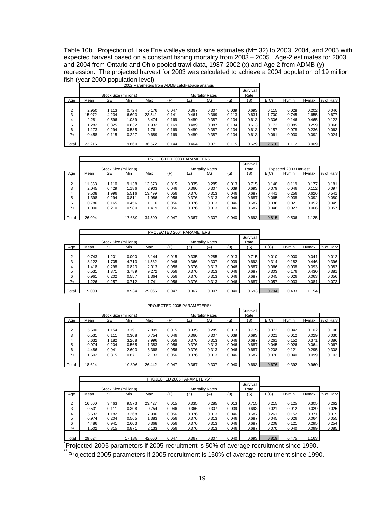Table 10b. Projection of Lake Erie walleye stock size estimates (M=.32) to 2003, 2004, and 2005 with expected harvest based on a constant fishing mortality from 2003 – 2005. Age-2 estimates for 2003 and 2004 from Ontario and Ohio pooled trawl data, 1987-2002 (x) and Age 2 from ADMB (y) regression. The projected harvest for 2003 was calculated to achieve a 2004 population of 19 million fish (year 2000 population level).

|                |        |                       |       |        | 2002 Parameters from ADMB catch-at-age analysis |       |                        |       |          |       |              |       |           |
|----------------|--------|-----------------------|-------|--------|-------------------------------------------------|-------|------------------------|-------|----------|-------|--------------|-------|-----------|
|                |        |                       |       |        |                                                 |       |                        |       | Survival |       |              |       |           |
|                |        | Stock Size (millions) |       |        |                                                 |       | <b>Mortality Rates</b> |       | Rate     |       |              |       |           |
| Age            | Mean   | <b>SE</b>             | Min   | Max    | (F)                                             |       | (A)                    | (u)   | (S)      | E(C)  | <b>Hymin</b> | Hymax | % of Harv |
|                |        |                       |       |        |                                                 |       |                        |       |          |       |              |       |           |
| $\overline{2}$ | 2.950  | 1.113                 | 0.724 | 5.176  | 0.047                                           | 0.367 | 0.307                  | 0.039 | 0.693    | 0.115 | 0.028        | 0.202 | 0.046     |
| 3              | 15.072 | 4.234                 | 6.603 | 23.541 | 0.141                                           | 0.461 | 0.369                  | 0.113 | 0.631    | 1.700 | 0.745        | 2.655 | 0.677     |
| 4              | 2.281  | 0.596                 | 1.089 | 3.474  | 0.169                                           | 0.489 | 0.387                  | 0.134 | 0.613    | 0.306 | 0.146        | 0.465 | 0.122     |
| 5              | 1.282  | 0.325                 | 0.632 | 1.932  | 0.169                                           | 0.489 | 0.387                  | 0.134 | 0.613    | 0.172 | 0.085        | 0.259 | 0.068     |
| 6              | 1.173  | 0.294                 | 0.585 | 1.761  | 0.169                                           | 0.489 | 0.387                  | 0.134 | 0.613    | 0.157 | 0.078        | 0.236 | 0.063     |
| $7+$           | 0.458  | 0.115                 | 0.227 | 0.689  | 0.169                                           | 0.489 | 0.387                  | 0.134 | 0.613    | 0.061 | 0.030        | 0.092 | 0.024     |
|                |        |                       |       |        |                                                 |       |                        |       |          |       |              |       |           |
| Total          | 23.216 |                       | 9.860 | 36.572 | 0.144                                           | 0.464 | 0.371                  | 0.115 | 0.629    | 2.510 | 1.112        | 3.909 |           |

|                |        |                       |        |        | PROJECTED 2003 PARAMETERS      |       |       |       |          |                       |       |       |           |
|----------------|--------|-----------------------|--------|--------|--------------------------------|-------|-------|-------|----------|-----------------------|-------|-------|-----------|
|                |        |                       |        |        |                                |       |       |       | Survival |                       |       |       |           |
|                |        | Stock Size (millions) |        |        | Rate<br><b>Mortality Rates</b> |       |       |       |          | Expected 2003 Harvest |       |       |           |
| Age            | Mean   | <b>SE</b>             | Min    | Max    | (F                             | וZ    | (A)   | (u)   | (S)      | E(C)                  | Hymin | Hymax | % of Harv |
|                |        |                       |        |        |                                |       |       |       |          |                       |       |       |           |
| $\overline{2}$ | 11.358 | 1.110                 | 9.138  | 13.578 | 0.015                          | 0.335 | 0.285 | 0.013 | 0.715    | 0.148                 | 0.119 | 0.177 | 0.181     |
| 3              | 2.045  | 0.429                 | 1.186  | 2.903  | 0.046                          | 0.366 | 0.307 | 0.039 | 0.693    | 0.079                 | 0.046 | 0.112 | 0.097     |
| 4              | 9.508  | 1.996                 | 5.516  | 13.499 | 0.056                          | 0.376 | 0.313 | 0.046 | 0.687    | 0.441                 | 0.256 | 0.626 | 0.541     |
| 5              | .398   | 0.294                 | 0.811  | 1.986  | 0.056                          | 0.376 | 0.313 | 0.046 | 0.687    | 0.065                 | 0.038 | 0.092 | 0.080     |
| 6              | 0.786  | 0.165                 | 0.456  | 1.116  | 0.056                          | 0.376 | 0.313 | 0.046 | 0.687    | 0.036                 | 0.021 | 0.052 | 0.045     |
| $7+$           | .000   | 0.210                 | 0.580  | 1.419  | 0.056                          | 0.376 | 0.313 | 0.046 | 0.687    | 0.046                 | 0.027 | 0.066 | 0.057     |
|                |        |                       |        |        |                                |       |       |       |          |                       |       |       |           |
| Total          | 26.094 |                       | 17.689 | 34.500 | 0.047                          | 0.367 | 0.307 | 0.040 | 0.693    | 0.815                 | 0.506 | 1.125 |           |

|                |        |                       |       |        | PROJECTED 2004 PARAMETERS |       |                        |       |          |       |       |       |           |
|----------------|--------|-----------------------|-------|--------|---------------------------|-------|------------------------|-------|----------|-------|-------|-------|-----------|
|                |        |                       |       |        |                           |       |                        |       | Survival |       |       |       |           |
|                |        | Stock Size (millions) |       |        |                           |       | <b>Mortality Rates</b> |       | Rate     |       |       |       |           |
| Age            | Mean   | <b>SE</b>             | Min   | Max    | (F                        | Z١    | (A)                    | (u)   | (S)      | E(C)  | Hymin | Hymax | % of Harv |
|                |        |                       |       |        |                           |       |                        |       |          |       |       |       |           |
| $\overline{2}$ | 0.743  | 1.201                 | 0.000 | 3.144  | 0.015                     | 0.335 | 0.285                  | 0.013 | 0.715    | 0.010 | 0.000 | 0.041 | 0.012     |
| 3              | 8.122  | 1.705                 | 4.713 | 11.532 | 0.046                     | 0.366 | 0.307                  | 0.039 | 0.693    | 0.314 | 0.182 | 0.446 | 0.396     |
| 4              | 1.418  | 0.298                 | 0.823 | 2.013  | 0.056                     | 0.376 | 0.313                  | 0.046 | 0.687    | 0.066 | 0.038 | 0.093 | 0.083     |
| 5              | 6.531  | 1.371                 | 3.789 | 9.272  | 0.056                     | 0.376 | 0.313                  | 0.046 | 0.687    | 0.303 | 0.176 | 0.430 | 0.381     |
| 6              | 0.961  | 0.202                 | 0.557 | 1.364  | 0.056                     | 0.376 | 0.313                  | 0.046 | 0.687    | 0.045 | 0.026 | 0.063 | 0.056     |
| $7+$           | 1.226  | 0.257                 | 0.712 | 1.741  | 0.056                     | 0.376 | 0.313                  | 0.046 | 0.687    | 0.057 | 0.033 | 0.081 | 0.072     |
|                |        |                       |       |        |                           |       |                        |       |          |       |       |       |           |
| Total          | 19.000 |                       | 8.934 | 29.066 | 0.047                     | 0.367 | 0.307                  | 0.040 | 0.693    | 0.794 | 0.433 | 1.154 |           |

|                     |                |                       |                |                | PROJECTED 2005 PARAMETERS* |                |                        |                |                  |                |                |                |                |
|---------------------|----------------|-----------------------|----------------|----------------|----------------------------|----------------|------------------------|----------------|------------------|----------------|----------------|----------------|----------------|
|                     |                | Stock Size (millions) |                |                |                            |                | <b>Mortality Rates</b> |                | Survival<br>Rate |                |                |                |                |
| Age                 | Mean           | <b>SE</b>             | Min            | Max            | (F                         | (Z             | (A)                    | (u)            | (S)              | E(C)           | Hymin          | Hymax          | % of Harv      |
| $\overline{2}$<br>3 | 5.500<br>0.531 | 1.154<br>0.111        | 3.191<br>0.308 | 7.809<br>0.754 | 0.015<br>0.046             | 0.335<br>0.366 | 0.285<br>0.307         | 0.013<br>0.039 | 0.715<br>0.693   | 0.072<br>0.021 | 0.042<br>0.012 | 0.102<br>0.029 | 0.106<br>0.030 |
| 4<br>5              | 5.632<br>0.974 | 1.182<br>0.204        | 3.268<br>0.565 | 7.996<br>1.383 | 0.056<br>0.056             | 0.376<br>0.376 | 0.313<br>0.313         | 0.046<br>0.046 | 0.687<br>0.687   | 0.261<br>0.045 | 0.152<br>0.026 | 0.371<br>0.064 | 0.386<br>0.067 |
| 6<br>$7+$           | 4.486<br>1.502 | 0.941<br>0.315        | 2.603<br>0.871 | 6.368<br>2.133 | 0.056<br>0.056             | 0.376<br>0.376 | 0.313<br>0.313         | 0.046<br>0.046 | 0.687<br>0.687   | 0.208<br>0.070 | 0.121<br>0.040 | 0.295<br>0.099 | 0.308<br>0.103 |
| Total               | 18.624         |                       | 10.806         | 26.442         | 0.047                      | 0.367          | 0.307                  | 0.040          | 0.693            | 0.676          | 0.392          | 0.960          |                |

|                |        |                       |        |        | PROJECTED 2005 PARAMETERS** |       |                        |       |                  |       |       |       |           |
|----------------|--------|-----------------------|--------|--------|-----------------------------|-------|------------------------|-------|------------------|-------|-------|-------|-----------|
|                |        | Stock Size (millions) |        |        |                             |       | <b>Mortality Rates</b> |       | Survival<br>Rate |       |       |       |           |
| Age            | Mean   | <b>SE</b>             | Min    | Max    | (F)                         | (Z)   | (A)                    | (u    | (S)              | E(C)  | Hymin | Hymax | % of Harv |
|                |        |                       |        |        |                             |       |                        |       |                  |       |       |       |           |
| $\overline{2}$ | 16.500 | 3.463                 | 9.573  | 23.427 | 0.015                       | 0.335 | 0.285                  | 0.013 | 0.715            | 0.215 | 0.125 | 0.305 | 0.262     |
| 3              | 0.531  | 0.111                 | 0.308  | 0.754  | 0.046                       | 0.366 | 0.307                  | 0.039 | 0.693            | 0.021 | 0.012 | 0.029 | 0.025     |
| 4              | 5.632  | 1.182                 | 3.268  | 7.996  | 0.056                       | 0.376 | 0.313                  | 0.046 | 0.687            | 0.261 | 0.152 | 0.371 | 0.319     |
| 5              | 0.974  | 0.204                 | 0.565  | 1.383  | 0.056                       | 0.376 | 0.313                  | 0.046 | 0.687            | 0.045 | 0.026 | 0.064 | 0.055     |
| 6              | 4.486  | 0.941                 | 2.603  | 6.368  | 0.056                       | 0.376 | 0.313                  | 0.046 | 0.687            | 0.208 | 0.121 | 0.295 | 0.254     |
| $7+$           | .502   | 0.315                 | 0.871  | 2.133  | 0.056                       | 0.376 | 0.313                  | 0.046 | 0.687            | 0.070 | 0.040 | 0.099 | 0.085     |
|                |        |                       |        |        |                             |       |                        |       |                  |       |       |       |           |
| Total          | 29.624 |                       | 17.188 | 42.060 | 0.047                       | 0.367 | 0.307                  | 0.040 | 0.693            | 0.819 | 0.475 | 1.163 |           |

\* Projected 2005 parameters if 2005 recruitment is 50% of average recruitment since 1990.

\*\*<br>Projected 2005 parameters if 2005 recruitment is 150% of average recruitment since 1990.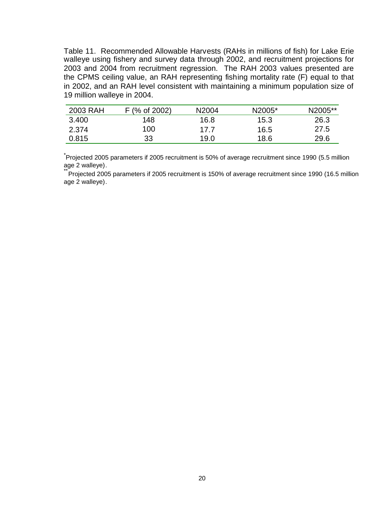Table 11. Recommended Allowable Harvests (RAHs in millions of fish) for Lake Erie walleye using fishery and survey data through 2002, and recruitment projections for 2003 and 2004 from recruitment regression. The RAH 2003 values presented are the CPMS ceiling value, an RAH representing fishing mortality rate (F) equal to that in 2002, and an RAH level consistent with maintaining a minimum population size of 19 million walleye in 2004.

| 2003 RAH | F (% of 2002) | N <sub>2004</sub> | N2005* | N2005** |
|----------|---------------|-------------------|--------|---------|
| 3.400    | 148           | 16.8              | 15.3   | 26.3    |
| 2.374    | 100           | 17 7              | 16.5   | 27.5    |
| 0.815    | 33            | 19.0              | 18.6   | 29.6    |

\* Projected 2005 parameters if 2005 recruitment is 50% of average recruitment since 1990 (5.5 million age 2 walleye).

\*\*<sup>\*\*</sup>Projected 2005 parameters if 2005 recruitment is 150% of average recruitment since 1990 (16.5 million age 2 walleye).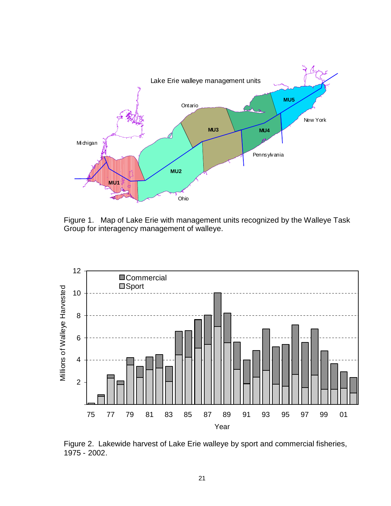

Figure 1. Map of Lake Erie with management units recognized by the Walleye Task Group for interagency management of walleye.



Figure 2. Lakewide harvest of Lake Erie walleye by sport and commercial fisheries, 1975 - 2002.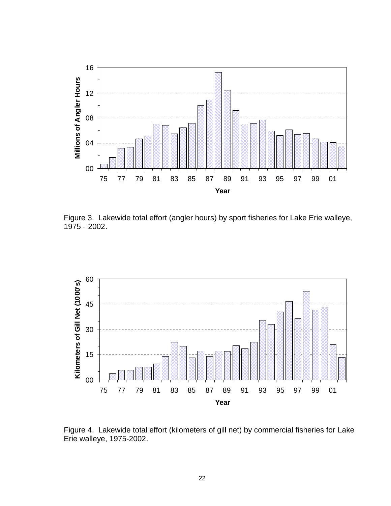

Figure 3. Lakewide total effort (angler hours) by sport fisheries for Lake Erie walleye, 1975 - 2002.



Figure 4. Lakewide total effort (kilometers of gill net) by commercial fisheries for Lake Erie walleye, 1975-2002.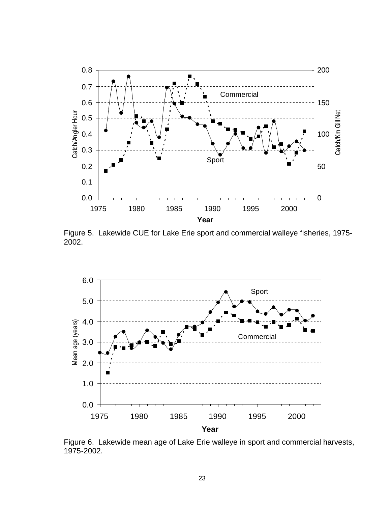

Figure 5. Lakewide CUE for Lake Erie sport and commercial walleye fisheries, 1975- 2002.



Figure 6. Lakewide mean age of Lake Erie walleye in sport and commercial harvests, 1975-2002.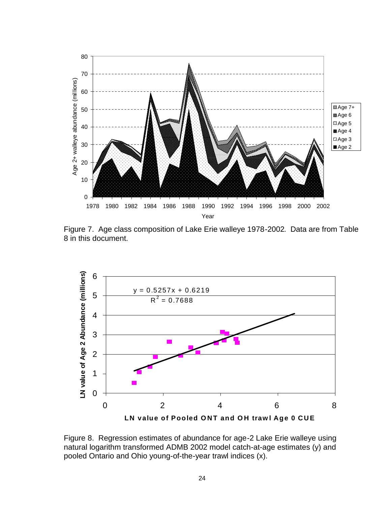

Figure 7. Age class composition of Lake Erie walleye 1978-2002. Data are from Table 8 in this document.



Figure 8. Regression estimates of abundance for age-2 Lake Erie walleye using natural logarithm transformed ADMB 2002 model catch-at-age estimates (y) and pooled Ontario and Ohio young-of-the-year trawl indices (x).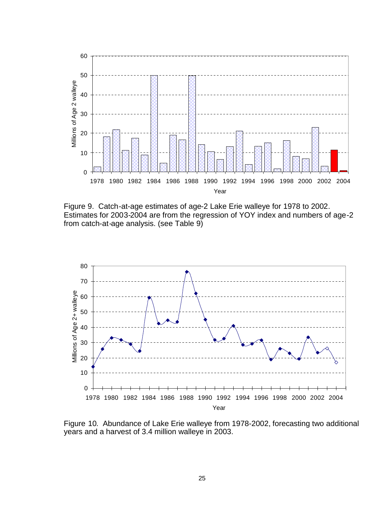

Figure 9. Catch-at-age estimates of age-2 Lake Erie walleye for 1978 to 2002. Estimates for 2003-2004 are from the regression of YOY index and numbers of age-2 from catch-at-age analysis. (see Table 9)



Figure 10. Abundance of Lake Erie walleye from 1978-2002, forecasting two additional years and a harvest of 3.4 million walleye in 2003.